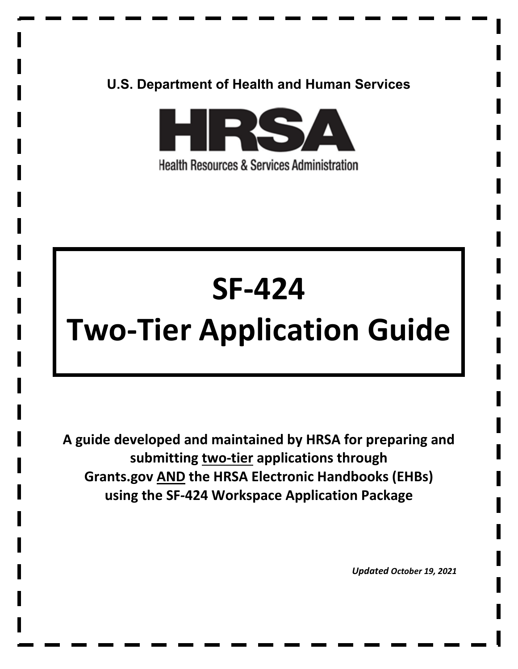# **U.S. Department of Health and Human Services**



# **SF-424**

# **Two-Tier Application Guide**

**A guide developed and maintained by HRSA for preparing and submitting two-tier applications through Grants.gov AND the HRSA Electronic Handbooks (EHBs) using the SF-424 Workspace Application Package** 

*Updated October 19, 2021*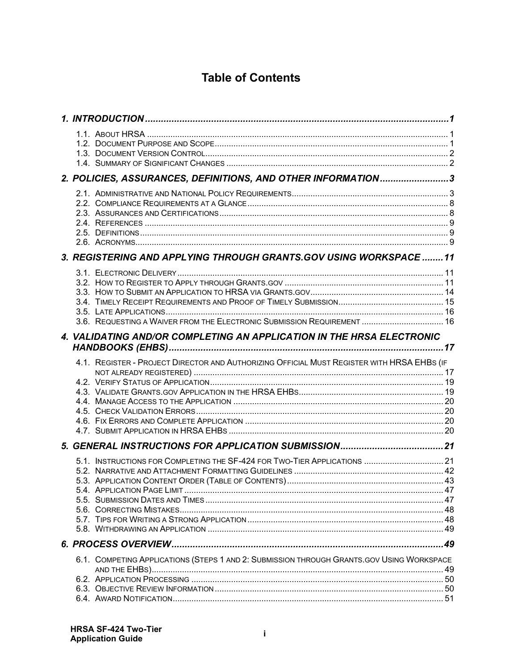# **Table of Contents**

|  | 2. POLICIES, ASSURANCES, DEFINITIONS, AND OTHER INFORMATION3                               |  |
|--|--------------------------------------------------------------------------------------------|--|
|  |                                                                                            |  |
|  | 3. REGISTERING AND APPLYING THROUGH GRANTS.GOV USING WORKSPACE  11                         |  |
|  | 3.6. REQUESTING A WAIVER FROM THE ELECTRONIC SUBMISSION REQUIREMENT  16                    |  |
|  | 4. VALIDATING AND/OR COMPLETING AN APPLICATION IN THE HRSA ELECTRONIC                      |  |
|  |                                                                                            |  |
|  | 4.1. REGISTER - PROJECT DIRECTOR AND AUTHORIZING OFFICIAL MUST REGISTER WITH HRSA EHBS (IF |  |
|  |                                                                                            |  |
|  | 5.1. INSTRUCTIONS FOR COMPLETING THE SF-424 FOR TWO-TIER APPLICATIONS  21                  |  |
|  |                                                                                            |  |
|  | 6.1. COMPETING APPLICATIONS (STEPS 1 AND 2: SUBMISSION THROUGH GRANTS.GOV USING WORKSPACE  |  |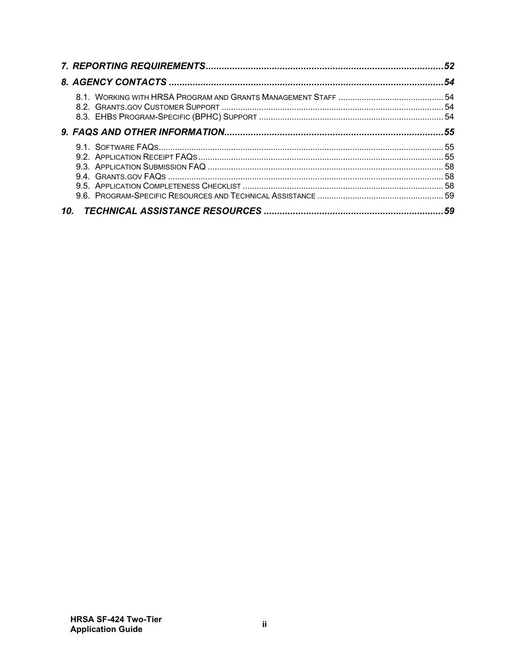| 10. |  |
|-----|--|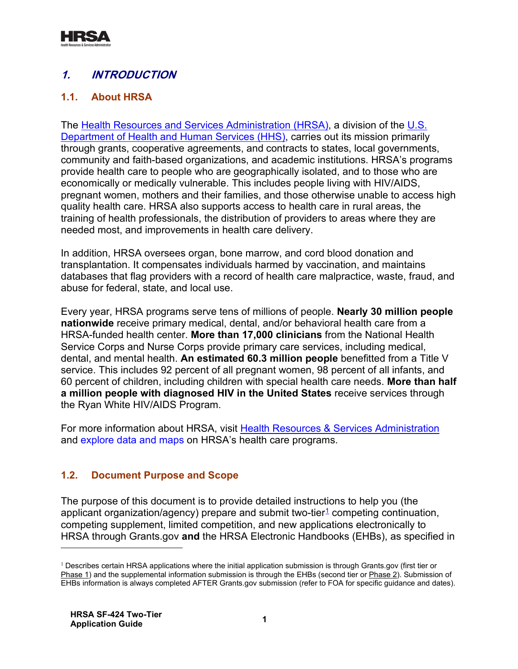

# <span id="page-3-0"></span>**1. INTRODUCTION**

# <span id="page-3-1"></span>**1.1. About HRSA**

The [Health Resources and Services Administration \(HRSA\),](http://www.hrsa.gov/) a division of the U.S. [Department of Health and Human Services \(HHS\),](http://www.hhs.gov/) carries out its mission primarily through grants, cooperative agreements, and contracts to states, local governments, community and faith-based organizations, and academic institutions. HRSA's programs provide health care to people who are geographically isolated, and to those who are economically or medically vulnerable. This includes people living with HIV/AIDS, pregnant women, mothers and their families, and those otherwise unable to access high quality health care. HRSA also supports access to health care in rural areas, the training of health professionals, the distribution of providers to areas where they are needed most, and improvements in health care delivery.

In addition, HRSA oversees organ, bone marrow, and cord blood donation and transplantation. It compensates individuals harmed by vaccination, and maintains databases that flag providers with a record of health care malpractice, waste, fraud, and abuse for federal, state, and local use.

Every year, HRSA programs serve tens of millions of people. **Nearly 30 million people nationwide** receive primary medical, dental, and/or behavioral health care from a HRSA-funded health center. **More than 17,000 clinicians** from the National Health Service Corps and Nurse Corps provide primary care services, including medical, dental, and mental health. **An estimated 60.3 million people** benefitted from a Title V service. This includes 92 percent of all pregnant women, 98 percent of all infants, and 60 percent of children, including children with special health care needs. **More than half a million people with diagnosed HIV in the United States** receive services through the Ryan White HIV/AIDS Program.

For more information about HRSA, visit [Health Resources & Services Administration](http://www.hrsa.gov/) and [explore data and maps](https://data.hrsa.gov/) on HRSA's health care programs.

# <span id="page-3-2"></span>**1.2. Document Purpose and Scope**

The purpose of this document is to provide detailed instructions to help you (the applicant organization/agency) prepare and submit two-tier<sup>[1](#page-3-3)</sup> competing continuation, competing supplement, limited competition, and new applications electronically to HRSA through Grants.gov **and** the HRSA Electronic Handbooks (EHBs), as specified in

<span id="page-3-3"></span> $1$  Describes certain HRSA applications where the initial application submission is through Grants.gov (first tier or Phase 1) and the supplemental information submission is through the EHBs (second tier or Phase 2). Submission of EHBs information is always completed AFTER Grants.gov submission (refer to FOA for specific guidance and dates).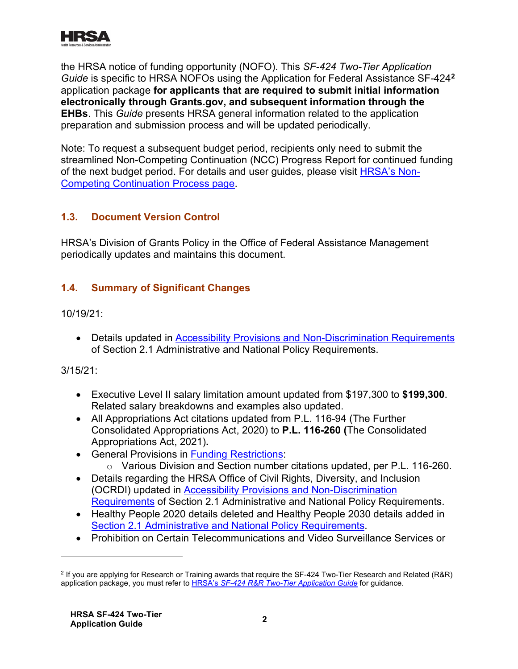

the HRSA notice of funding opportunity (NOFO). This *SF-424 Two-Tier Application Guide* is specific to HRSA NOFOs using the Application for Federal Assistance SF-424**[2](#page-4-2)** application package **for applicants that are required to submit initial information electronically through Grants.gov, and subsequent information through the EHBs**. This *Guide* presents HRSA general information related to the application preparation and submission process and will be updated periodically.

**[Competing Continuation Process](http://www.hrsa.gov/grants/noncompetingcontinuations/index.html) page.** Note: To request a subsequent budget period, recipients only need to submit the streamlined Non-Competing Continuation (NCC) Progress Report for continued funding of the next budget period. For details and user guides, please visit [HRSA's Non-](http://www.hrsa.gov/grants/noncompetingcontinuations/index.html)

# <span id="page-4-0"></span>**1.3. Document Version Control**

HRSA's Division of Grants Policy in the Office of Federal Assistance Management periodically updates and maintains this document.

# <span id="page-4-1"></span>**1.4. Summary of Significant Changes**

10/19/21:

• Details updated in [Accessibility Provisions and Non-Discrimination Requirements](#page-6-0) of Section 2.1 Administrative and National Policy Requirements.

3/15/21:

- Executive Level II salary limitation amount updated from \$197,300 to **\$199,300**. Related salary breakdowns and examples also updated.
- All Appropriations Act citations updated from P.L. 116-94 (The Further Consolidated Appropriations Act, 2020) to **P.L. 116-260 (**The Consolidated Appropriations Act, 2021)**.**
- **•** General Provisions in **Funding Restrictions**:
	- o Various Division and Section number citations updated, per P.L. 116-260.
- Details regarding the HRSA Office of Civil Rights, Diversity, and Inclusion (OCRDI) updated in [Accessibility Provisions and Non-Discrimination](#page-6-0)  [Requirements](#page-6-0) of Section 2.1 Administrative and National Policy Requirements.
- . [Section 2.1 Administrative and National Policy Requirements](#page-8-0) • Healthy People 2020 details deleted and Healthy People 2030 details added in
- Prohibition on Certain Telecommunications and Video Surveillance Services or

<span id="page-4-2"></span>application package, you must refer to <u>HRSA's *[SF-424 R&R Two-Tier Application Guide](http://www.hrsa.gov/grants/apply/applicationguide/sf424rr2guidev2.pdf)* f</u>or guidance. <sup>2</sup> If you are applying for Research or Training awards that require the SF-424 Two-Tier Research and Related (R&R)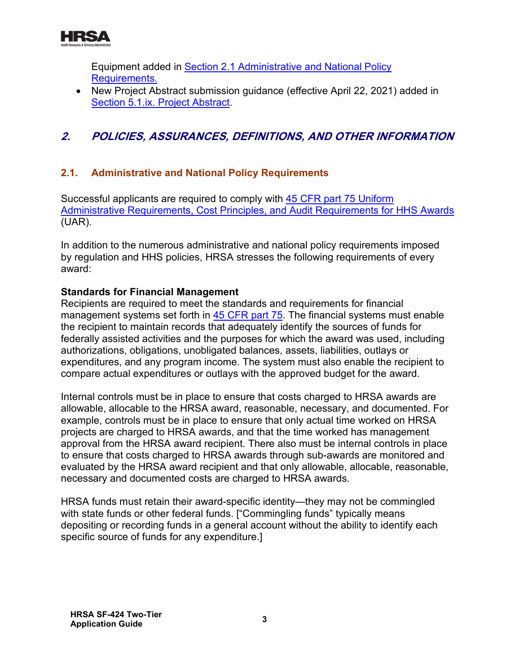

Equipment added in [Section 2.1 Administrative and National Policy](#page-8-1)  [Requirements.](#page-8-1)

• New Project Abstract submission guidance (effective April 22, 2021) added in [Section 5.1.ix. Project Abstract.](#page-43-0)

# <span id="page-5-0"></span>**2. POLICIES, ASSURANCES, DEFINITIONS, AND OTHER INFORMATION**

# <span id="page-5-1"></span>**2.1. Administrative and National Policy Requirements**

Successful applicants are required to comply with [45 CFR part 75 Uniform](http://www.ecfr.gov/cgi-bin/retrieveECFR?gp=1&SID=4d52364ec83fab994c665943dadf9cf7&ty=HTML&h=L&r=PART&n=pt45.1.75)  [Administrative Requirements, Cost Principles, and Audit Requirements for HHS Awards](http://www.ecfr.gov/cgi-bin/retrieveECFR?gp=1&SID=4d52364ec83fab994c665943dadf9cf7&ty=HTML&h=L&r=PART&n=pt45.1.75) (UAR).

In addition to the numerous administrative and national policy requirements imposed by regulation and HHS policies, HRSA stresses the following requirements of every award:

#### **Standards for Financial Management**

Recipients are required to meet the standards and requirements for financial management systems set forth in [45 CFR part 75.](http://www.ecfr.gov/cgi-bin/retrieveECFR?gp=1&SID=4d52364ec83fab994c665943dadf9cf7&ty=HTML&h=L&r=PART&n=pt45.1.75) The financial systems must enable the recipient to maintain records that adequately identify the sources of funds for federally assisted activities and the purposes for which the award was used, including authorizations, obligations, unobligated balances, assets, liabilities, outlays or expenditures, and any program income. The system must also enable the recipient to compare actual expenditures or outlays with the approved budget for the award.

Internal controls must be in place to ensure that costs charged to HRSA awards are allowable, allocable to the HRSA award, reasonable, necessary, and documented. For example, controls must be in place to ensure that only actual time worked on HRSA projects are charged to HRSA awards, and that the time worked has management approval from the HRSA award recipient. There also must be internal controls in place to ensure that costs charged to HRSA awards through sub-awards are monitored and evaluated by the HRSA award recipient and that only allowable, allocable, reasonable, necessary and documented costs are charged to HRSA awards.

HRSA funds must retain their award-specific identity—they may not be commingled with state funds or other federal funds. ["Commingling funds" typically means depositing or recording funds in a general account without the ability to identify each specific source of funds for any expenditure.]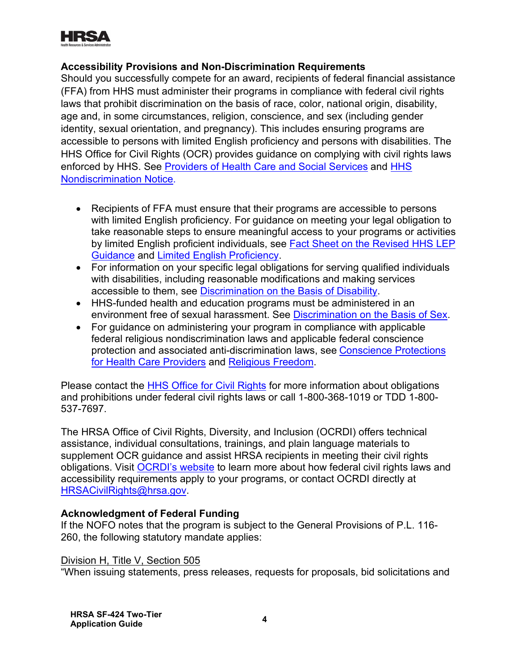

#### <span id="page-6-0"></span>**Accessibility Provisions and Non-Discrimination Requirements**

Should you successfully compete for an award, recipients of federal financial assistance (FFA) from HHS must administer their programs in compliance with federal civil rights laws that prohibit discrimination on the basis of race, color, national origin, disability, age and, in some circumstances, religion, conscience, and sex (including gender identity, sexual orientation, and pregnancy). This includes ensuring programs are accessible to persons with limited English proficiency and persons with disabilities. The HHS Office for Civil Rights (OCR) provides guidance on complying with civil rights laws enforced by HHS. See [Providers of Health Care and Social Services](https://www.hhs.gov/civil-rights/for-providers/provider-obligations/index.html) and [HHS](https://www.hhs.gov/civil-rights/for-individuals/nondiscrimination/index.html)  [Nondiscrimination Notice.](https://www.hhs.gov/civil-rights/for-individuals/nondiscrimination/index.html)

- . [Guidance](https://www.hhs.gov/civil-rights/for-individuals/special-topics/limited-english-proficiency/fact-sheet-guidance/index.html) and [Limited English Proficiency](https://www.lep.gov/) • Recipients of FFA must ensure that their programs are accessible to persons with limited English proficiency. For guidance on meeting your legal obligation to take reasonable steps to ensure meaningful access to your programs or activities by limited English proficient individuals, see [Fact Sheet on the Revised HHS LEP](https://www.hhs.gov/civil-rights/for-individuals/special-topics/limited-english-proficiency/fact-sheet-guidance/index.html)
- accessible to them, see <u>[Discrimination on the Basis of Disability](http://www.hhs.gov/ocr/civilrights/understanding/disability/index.html)</u> . • For information on your specific legal obligations for serving qualified individuals with disabilities, including reasonable modifications and making services
- environment free of sexual harassment. See <u>[Discrimination on the Basis of Sex](https://www.hhs.gov/civil-rights/for-individuals/sex-discrimination/index.html)</u>. • HHS-funded health and education programs must be administered in an
- <u>[for Health Care Providers](https://www.hhs.gov/conscience/conscience-protections/index.html)</u> and <u>Religious Freedom</u>. • For guidance on administering your program in compliance with applicable federal religious nondiscrimination laws and applicable federal conscience protection and associated anti-discrimination laws, see [Conscience Protections](https://www.hhs.gov/conscience/conscience-protections/index.html)

Please contact the [HHS Office for Civil Rights](https://www.hhs.gov/ocr/about-us/contact-us/index.html) for more information about obligations and prohibitions under federal civil rights laws or call 1-800-368-1019 or TDD 1-800- 537-7697.

. [HRSACivilRights@hrsa.gov](mailto:HRSACivilRights@hrsa.gov) The HRSA Office of Civil Rights, Diversity, and Inclusion (OCRDI) offers technical assistance, individual consultations, trainings, and plain language materials to supplement OCR guidance and assist HRSA recipients in meeting their civil rights obligations. Visit [OCRDI's website](https://www.hrsa.gov/about/organization/bureaus/ocrdi#recipients) to learn more about how federal civil rights laws and accessibility requirements apply to your programs, or contact OCRDI directly at

#### **Acknowledgment of Federal Funding**

If the NOFO notes that the program is subject to the General Provisions of P.L. 116- 260, the following statutory mandate applies:

#### Division H, Title V, Section 505

"When issuing statements, press releases, requests for proposals, bid solicitations and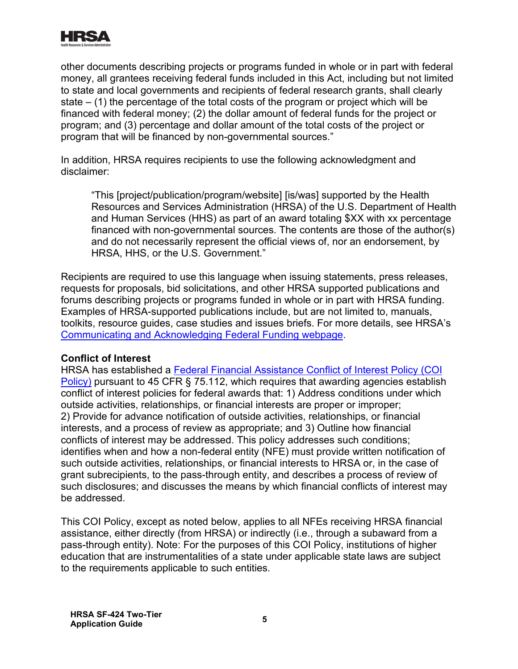

other documents describing projects or programs funded in whole or in part with federal money, all grantees receiving federal funds included in this Act, including but not limited to state and local governments and recipients of federal research grants, shall clearly state  $-$  (1) the percentage of the total costs of the program or project which will be financed with federal money; (2) the dollar amount of federal funds for the project or program; and (3) percentage and dollar amount of the total costs of the project or program that will be financed by non-governmental sources."

In addition, HRSA requires recipients to use the following acknowledgment and disclaimer:

"This [project/publication/program/website] [is/was] supported by the Health Resources and Services Administration (HRSA) of the U.S. Department of Health and Human Services (HHS) as part of an award totaling \$XX with xx percentage financed with non-governmental sources. The contents are those of the author(s) and do not necessarily represent the official views of, nor an endorsement, by HRSA, HHS, or the U.S. Government."

. [Communicating and Acknowledging Federal Funding webpage](https://www.hrsa.gov/grants/manage/acknowledge-hrsa-funding) Recipients are required to use this language when issuing statements, press releases, requests for proposals, bid solicitations, and other HRSA supported publications and forums describing projects or programs funded in whole or in part with HRSA funding. Examples of HRSA-supported publications include, but are not limited to, manuals, toolkits, resource guides, case studies and issues briefs. For more details, see HRSA's

#### **Conflict of Interest**

HRSA has established a [Federal Financial Assistance Conflict of Interest Policy \(COI](https://www.hrsa.gov/grants/standard-terms/conflict-interest-policy)  [Policy\)](https://www.hrsa.gov/grants/standard-terms/conflict-interest-policy) pursuant to 45 CFR § 75.112, which requires that awarding agencies establish conflict of interest policies for federal awards that: 1) Address conditions under which outside activities, relationships, or financial interests are proper or improper; 2) Provide for advance notification of outside activities, relationships, or financial interests, and a process of review as appropriate; and 3) Outline how financial conflicts of interest may be addressed. This policy addresses such conditions; identifies when and how a non-federal entity (NFE) must provide written notification of such outside activities, relationships, or financial interests to HRSA or, in the case of grant subrecipients, to the pass-through entity, and describes a process of review of such disclosures; and discusses the means by which financial conflicts of interest may be addressed.

This COI Policy, except as noted below, applies to all NFEs receiving HRSA financial assistance, either directly (from HRSA) or indirectly (i.e., through a subaward from a pass-through entity). Note: For the purposes of this COI Policy, institutions of higher education that are instrumentalities of a state under applicable state laws are subject to the requirements applicable to such entities.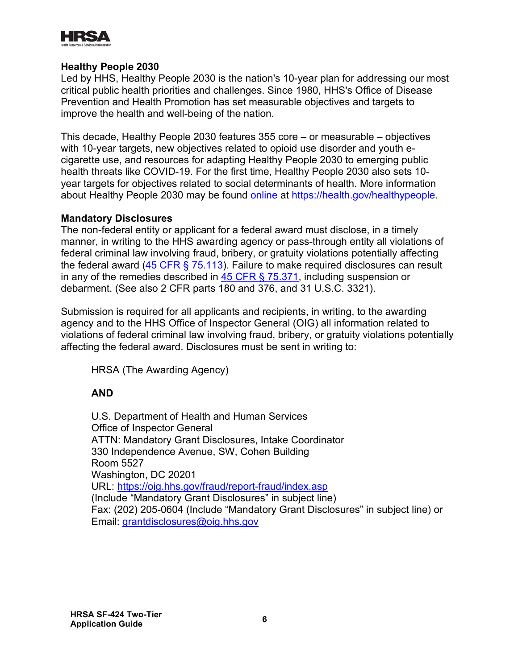

#### <span id="page-8-0"></span>**Healthy People 2030**

Led by HHS, Healthy People 2030 is the nation's 10-year plan for addressing our most critical public health priorities and challenges. Since 1980, HHS's Office of Disease Prevention and Health Promotion has set measurable objectives and targets to improve the health and well-being of the nation.

about Healthy People 2030 may be found <u>online</u> at <u>https://health.gov/healthypeople</u>. This decade, Healthy People 2030 features 355 core – or measurable – objectives with 10-year targets, new objectives related to opioid use disorder and youth ecigarette use, and resources for adapting Healthy People 2030 to emerging public health threats like COVID-19. For the first time, Healthy People 2030 also sets 10 year targets for objectives related to social determinants of health. More information

#### **Mandatory Disclosures**

The non-federal entity or applicant for a federal award must disclose, in a timely manner, in writing to the HHS awarding agency or pass-through entity all violations of federal criminal law involving fraud, bribery, or gratuity violations potentially affecting the federal award  $(45 \text{ CFR} \text{S} \, 75.113)$ . Failure to make required disclosures can result in any of the remedies described in  $45$  CFR § 75.371, including suspension or debarment. (See also 2 CFR parts 180 and 376, and 31 U.S.C. 3321).

Submission is required for all applicants and recipients, in writing, to the awarding agency and to the HHS Office of Inspector General (OIG) all information related to violations of federal criminal law involving fraud, bribery, or gratuity violations potentially affecting the federal award. Disclosures must be sent in writing to:

HRSA (The Awarding Agency)

#### **AND**

<span id="page-8-1"></span>U.S. Department of Health and Human Services Office of Inspector General ATTN: Mandatory Grant Disclosures, Intake Coordinator 330 Independence Avenue, SW, Cohen Building Room 5527 Washington, DC 20201 URL: <https://oig.hhs.gov/fraud/report-fraud/index.asp> (Include "Mandatory Grant Disclosures" in subject line) Fax: (202) 205-0604 (Include "Mandatory Grant Disclosures" in subject line) or Email: grantdisclosures@oig.hhs.gov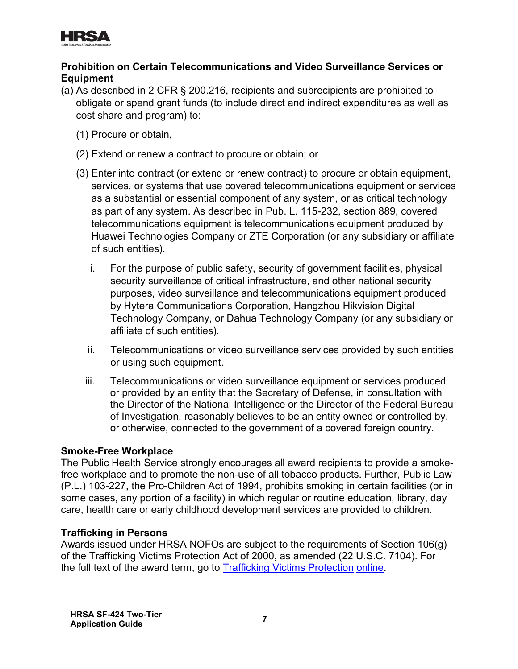

## **Prohibition on Certain Telecommunications and Video Surveillance Services or Equipment**

- (a) As described in 2 CFR § 200.216, recipients and subrecipients are prohibited to obligate or spend grant funds (to include direct and indirect expenditures as well as cost share and program) to:
	- (1) Procure or obtain,
	- (2) Extend or renew a contract to procure or obtain; or
	- (3) Enter into contract (or extend or renew contract) to procure or obtain equipment, services, or systems that use covered telecommunications equipment or services as a substantial or essential component of any system, or as critical technology as part of any system. As described in Pub. L. 115-232, section 889, covered telecommunications equipment is telecommunications equipment produced by Huawei Technologies Company or ZTE Corporation (or any subsidiary or affiliate of such entities).
		- i. For the purpose of public safety, security of government facilities, physical security surveillance of critical infrastructure, and other national security purposes, video surveillance and telecommunications equipment produced by Hytera Communications Corporation, Hangzhou Hikvision Digital Technology Company, or Dahua Technology Company (or any subsidiary or affiliate of such entities).
		- ii. Telecommunications or video surveillance services provided by such entities or using such equipment.
		- iii. Telecommunications or video surveillance equipment or services produced or provided by an entity that the Secretary of Defense, in consultation with the Director of the National Intelligence or the Director of the Federal Bureau of Investigation, reasonably believes to be an entity owned or controlled by, or otherwise, connected to the government of a covered foreign country.

#### **Smoke-Free Workplace**

The Public Health Service strongly encourages all award recipients to provide a smokefree workplace and to promote the non-use of all tobacco products. Further, Public Law (P.L.) 103-227, the Pro-Children Act of 1994, prohibits smoking in certain facilities (or in some cases, any portion of a facility) in which regular or routine education, library, day care, health care or early childhood development services are provided to children.

#### **Trafficking in Persons**

the full text of the award term, go to <u>Trafficking Victims Protection</u> online. Awards issued under HRSA NOFOs are subject to the requirements of Section 106(g) of the Trafficking Victims Protection Act of 2000, as amended (22 U.S.C. 7104). For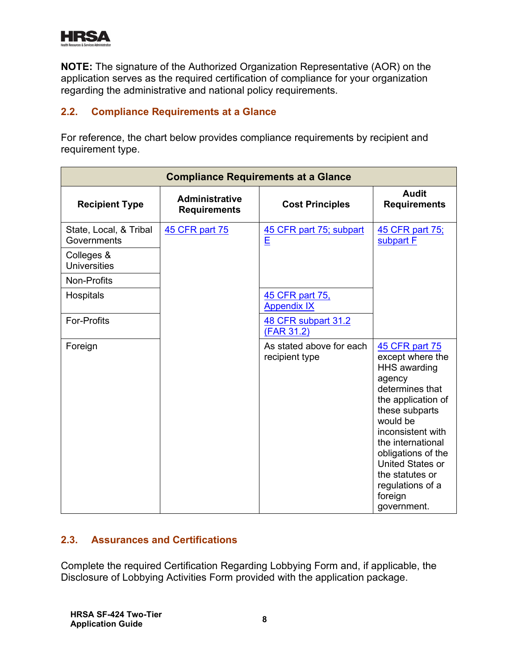

**NOTE:** The signature of the Authorized Organization Representative (AOR) on the application serves as the required certification of compliance for your organization regarding the administrative and national policy requirements.

## <span id="page-10-0"></span>**2.2. Compliance Requirements at a Glance**

For reference, the chart below provides compliance requirements by recipient and requirement type.

| <b>Compliance Requirements at a Glance</b> |                                              |                                            |                                                                                                                                                                                                                                                                                                        |
|--------------------------------------------|----------------------------------------------|--------------------------------------------|--------------------------------------------------------------------------------------------------------------------------------------------------------------------------------------------------------------------------------------------------------------------------------------------------------|
| <b>Recipient Type</b>                      | <b>Administrative</b><br><b>Requirements</b> | <b>Cost Principles</b>                     | <b>Audit</b><br><b>Requirements</b>                                                                                                                                                                                                                                                                    |
| State, Local, & Tribal<br>Governments      | <b>45 CFR part 75</b>                        | 45 CFR part 75; subpart<br>E               | 45 CFR part 75;<br>subpart F                                                                                                                                                                                                                                                                           |
| Colleges &<br><b>Universities</b>          |                                              |                                            |                                                                                                                                                                                                                                                                                                        |
| Non-Profits                                |                                              |                                            |                                                                                                                                                                                                                                                                                                        |
| Hospitals                                  |                                              | 45 CFR part 75,<br><b>Appendix IX</b>      |                                                                                                                                                                                                                                                                                                        |
| <b>For-Profits</b>                         |                                              | 48 CFR subpart 31.2<br>(FAR 31.2)          |                                                                                                                                                                                                                                                                                                        |
| Foreign                                    |                                              | As stated above for each<br>recipient type | 45 CFR part 75<br>except where the<br><b>HHS</b> awarding<br>agency<br>determines that<br>the application of<br>these subparts<br>would be<br>inconsistent with<br>the international<br>obligations of the<br><b>United States or</b><br>the statutes or<br>regulations of a<br>foreign<br>government. |

# <span id="page-10-1"></span>**2.3. Assurances and Certifications**

Complete the required Certification Regarding Lobbying Form and, if applicable, the Disclosure of Lobbying Activities Form provided with the application package.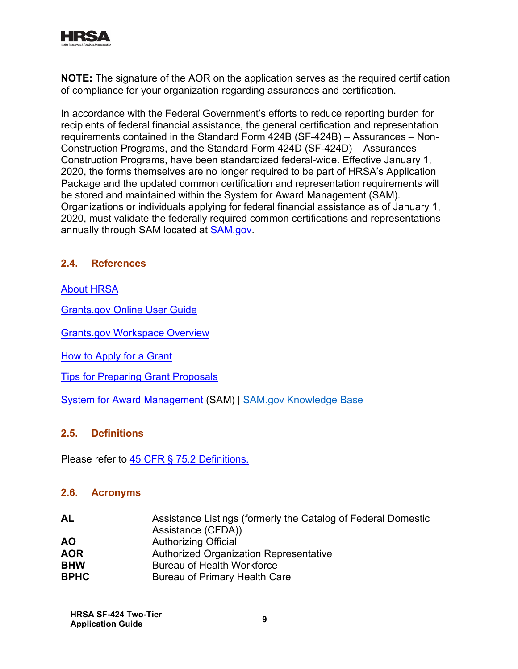

**NOTE:** The signature of the AOR on the application serves as the required certification of compliance for your organization regarding assurances and certification.

annually through SAM located at <u>SAM.gov</u>. In accordance with the Federal Government's efforts to reduce reporting burden for recipients of federal financial assistance, the general certification and representation requirements contained in the Standard Form 424B (SF-424B) – Assurances – Non-Construction Programs, and the Standard Form 424D (SF-424D) – Assurances – Construction Programs, have been standardized federal-wide. Effective January 1, 2020, the forms themselves are no longer required to be part of HRSA's Application Package and the updated common certification and representation requirements will be stored and maintained within the System for Award Management (SAM). Organizations or individuals applying for federal financial assistance as of January 1, 2020, must validate the federally required common certifications and representations

#### <span id="page-11-0"></span>**2.4. References**

#### [About HRSA](http://www.hrsa.gov/about/index.html)

[Grants.gov Online](http://www.grants.gov/help/html/help/index.htm) User Guide

[Grants.gov Workspace Overview](https://www.grants.gov/web/grants/applicants/workspace-overview.html)

[How to Apply for a Grant](http://www.hrsa.gov/grants/apply/index.html)

[Tips for Preparing Grant Proposals](http://www.hhs.gov/grants/grants/get-ready-for-grants-management/tips-for-preparing-grant-proposals)

[System for Award Management](https://www.sam.gov/) (SAM) | [SAM.gov Knowledge Base](https://nam12.safelinks.protection.outlook.com/?url=https%3A%2F%2Fwww.fsd.gov%2Fgsafsd_sp%3Fid%3Dgsa_kb_view2%26kb_id%3Df66d8e6cdb76d4100d73f81d0f9619c6&data=04%7C01%7Ccshifflett%40dminc.com%7C8eee7a2adab549a3b3c008d925e9a364%7Cdb7ac9ef779d46e59bca00509580ad6b%7C0%7C0%7C637582507851821018%7CUnknown%7CTWFpbGZsb3d8eyJWIjoiMC4wLjAwMDAiLCJQIjoiV2luMzIiLCJBTiI6Ik1haWwiLCJXVCI6Mn0%3D%7C1000&sdata=UrR%2B%2FM2wWF2fZG05Z8O6JS2C3FXXSl%2F7B3%2FB45XHRrg%3D&reserved=0)

#### <span id="page-11-1"></span>**2.5. Definitions**

Please refer to <u>45 CFR § 75.2 Definitions.</u>

#### <span id="page-11-2"></span>**2.6. Acronyms**

| AL          | Assistance Listings (formerly the Catalog of Federal Domestic |
|-------------|---------------------------------------------------------------|
|             | Assistance (CFDA))                                            |
| <b>AO</b>   | <b>Authorizing Official</b>                                   |
| <b>AOR</b>  | Authorized Organization Representative                        |
| <b>BHW</b>  | <b>Bureau of Health Workforce</b>                             |
| <b>BPHC</b> | Bureau of Primary Health Care                                 |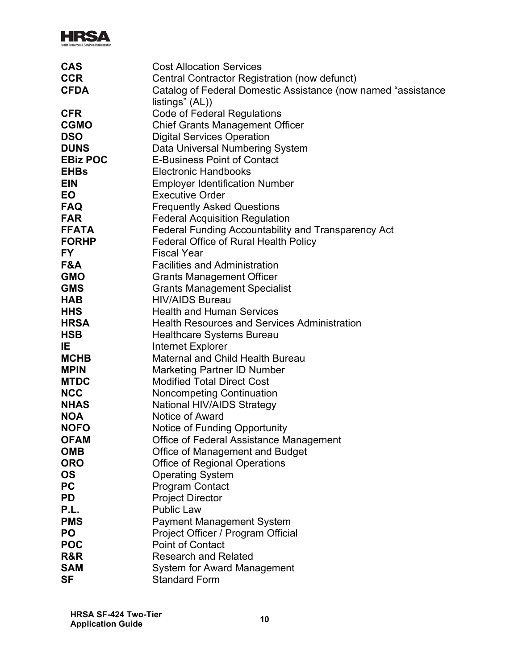

| <b>CAS</b>      | <b>Cost Allocation Services</b>                               |
|-----------------|---------------------------------------------------------------|
| <b>CCR</b>      | Central Contractor Registration (now defunct)                 |
| <b>CFDA</b>     | Catalog of Federal Domestic Assistance (now named "assistance |
|                 | listings" (AL))                                               |
| <b>CFR</b>      | <b>Code of Federal Regulations</b>                            |
| <b>CGMO</b>     | <b>Chief Grants Management Officer</b>                        |
| <b>DSO</b>      | <b>Digital Services Operation</b>                             |
| <b>DUNS</b>     | Data Universal Numbering System                               |
| <b>EBiz POC</b> | <b>E-Business Point of Contact</b>                            |
| <b>EHBs</b>     | <b>Electronic Handbooks</b>                                   |
| <b>EIN</b>      | <b>Employer Identification Number</b>                         |
| <b>EO</b>       | <b>Executive Order</b>                                        |
| <b>FAQ</b>      | <b>Frequently Asked Questions</b>                             |
| <b>FAR</b>      | <b>Federal Acquisition Regulation</b>                         |
| <b>FFATA</b>    | Federal Funding Accountability and Transparency Act           |
| <b>FORHP</b>    | <b>Federal Office of Rural Health Policy</b>                  |
| <b>FY</b>       | <b>Fiscal Year</b>                                            |
| F&A             | <b>Facilities and Administration</b>                          |
| <b>GMO</b>      | <b>Grants Management Officer</b>                              |
| <b>GMS</b>      | <b>Grants Management Specialist</b>                           |
| <b>HAB</b>      | <b>HIV/AIDS Bureau</b>                                        |
| <b>HHS</b>      | <b>Health and Human Services</b>                              |
| HRSA            | <b>Health Resources and Services Administration</b>           |
| <b>HSB</b>      | <b>Healthcare Systems Bureau</b>                              |
| IE.             | Internet Explorer                                             |
| <b>MCHB</b>     | <b>Maternal and Child Health Bureau</b>                       |
| <b>MPIN</b>     | <b>Marketing Partner ID Number</b>                            |
| <b>MTDC</b>     | <b>Modified Total Direct Cost</b>                             |
| <b>NCC</b>      | <b>Noncompeting Continuation</b>                              |
| <b>NHAS</b>     | <b>National HIV/AIDS Strategy</b>                             |
| <b>NOA</b>      | Notice of Award                                               |
| <b>NOFO</b>     | Notice of Funding Opportunity                                 |
| <b>OFAM</b>     | Office of Federal Assistance Management                       |
| <b>OMB</b>      | <b>Office of Management and Budget</b>                        |
| <b>ORO</b>      | <b>Office of Regional Operations</b>                          |
| <b>OS</b>       | <b>Operating System</b>                                       |
| <b>PC</b>       | <b>Program Contact</b>                                        |
| <b>PD</b>       | <b>Project Director</b>                                       |
| P.L.            | <b>Public Law</b>                                             |
| <b>PMS</b>      | <b>Payment Management System</b>                              |
| <b>PO</b>       | Project Officer / Program Official                            |
| <b>POC</b>      | <b>Point of Contact</b>                                       |
| R&R             | <b>Research and Related</b>                                   |
| <b>SAM</b>      | <b>System for Award Management</b>                            |
| <b>SF</b>       | <b>Standard Form</b>                                          |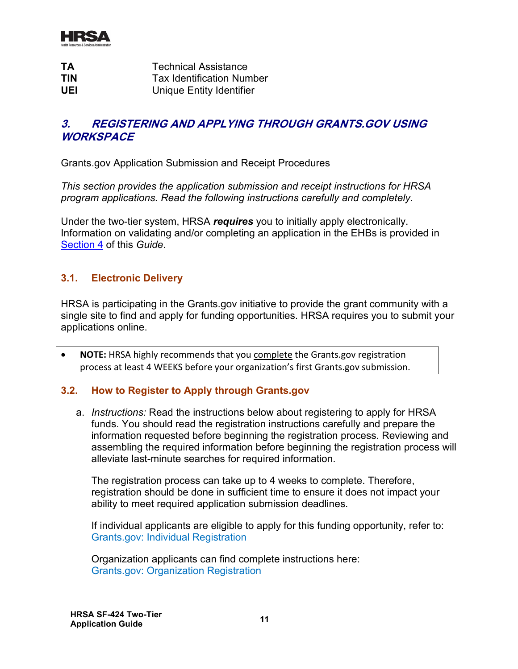

| <b>TA</b>  | <b>Technical Assistance</b>      |
|------------|----------------------------------|
| <b>TIN</b> | <b>Tax Identification Number</b> |
| UEL        | Unique Entity Identifier         |

# <span id="page-13-0"></span>**3. REGISTERING AND APPLYING THROUGH GRANTS.GOV USING WORKSPACE**

Grants.gov Application Submission and Receipt Procedures

*This section provides the application submission and receipt instructions for HRSA program applications. Read the following instructions carefully and completely.*

Under the two-tier system, HRSA *requires* you to initially apply electronically. Information on validating and/or completing an application in the EHBs is provided in [Section 4](#page-19-0) of this *Guide*.

#### <span id="page-13-1"></span>**3.1. Electronic Delivery**

HRSA is participating in the Grants.gov initiative to provide the grant community with a single site to find and apply for funding opportunities. HRSA requires you to submit your applications online.

• **NOTE:** HRSA highly recommends that you complete the Grants.gov registration process at least 4 WEEKS before your organization's first Grants.gov submission.

#### <span id="page-13-2"></span>**3.2. How to Register to Apply through Grants.gov**

a. *Instructions:* Read the instructions below about registering to apply for HRSA funds. You should read the registration instructions carefully and prepare the information requested before beginning the registration process. Reviewing and assembling the required information before beginning the registration process will alleviate last-minute searches for required information.

The registration process can take up to 4 weeks to complete. Therefore, registration should be done in sufficient time to ensure it does not impact your ability to meet required application submission deadlines.

If individual applicants are eligible to apply for this funding opportunity, refer to: [Grants.gov: Individual Registration](https://www.grants.gov/web/grants/applicants/registration.html?inheritRedirect=true)

Organization applicants can find complete instructions here: [Grants.gov: Organization Registration](https://www.grants.gov/web/grants/applicants/organization-registration.html)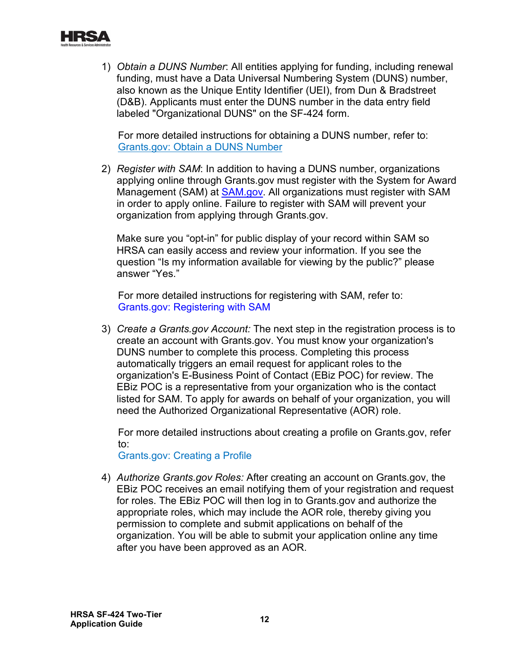

1) *Obtain a DUNS Number*: All entities applying for funding, including renewal funding, must have a Data Universal Numbering System (DUNS) number, also known as the Unique Entity Identifier (UEI), from Dun & Bradstreet (D&B). Applicants must enter the DUNS number in the data entry field labeled "Organizational DUNS" on the SF-424 form.

For more detailed instructions for obtaining a DUNS number, refer to: [Grants.gov: Obtain a DUNS Number](https://www.grants.gov/web/grants/applicants/organization-registration/step-1-obtain-duns-number.html)

2) *Register with SAM*: In addition to having a DUNS number, organizations applying online through Grants.gov must register with the System for Award Management (SAM) at [SAM.gov.](https://www.sam.gov/SAM/) All organizations must register with SAM in order to apply online. Failure to register with SAM will prevent your organization from applying through Grants.gov.

Make sure you "opt-in" for public display of your record within SAM so HRSA can easily access and review your information. If you see the question "Is my information available for viewing by the public?" please answer "Yes."

For more detailed instructions for registering with SAM, refer to: [Grants.gov: Registering with SAM](https://www.grants.gov/web/grants/applicants/organization-registration/step-2-register-with-sam.html)

3) *Create a Grants.gov Account:* The next step in the registration process is to create an account with Grants.gov. You must know your organization's DUNS number to complete this process. Completing this process automatically triggers an email request for applicant roles to the organization's E-Business Point of Contact (EBiz POC) for review. The EBiz POC is a representative from your organization who is the contact listed for SAM. To apply for awards on behalf of your organization, you will need the Authorized Organizational Representative (AOR) role.

For more detailed instructions about creating a profile on Grants.gov, refer to:

[Grants.gov: Creating a Profile](https://www.grants.gov/web/grants/applicants/registration/add-profile.html?inheritRedirect=true)

4) *Authorize Grants.gov Roles:* After creating an account on Grants.gov, the EBiz POC receives an email notifying them of your registration and request for roles. The EBiz POC will then log in to Grants.gov and authorize the appropriate roles, which may include the AOR role, thereby giving you permission to complete and submit applications on behalf of the organization. You will be able to submit your application online any time after you have been approved as an AOR.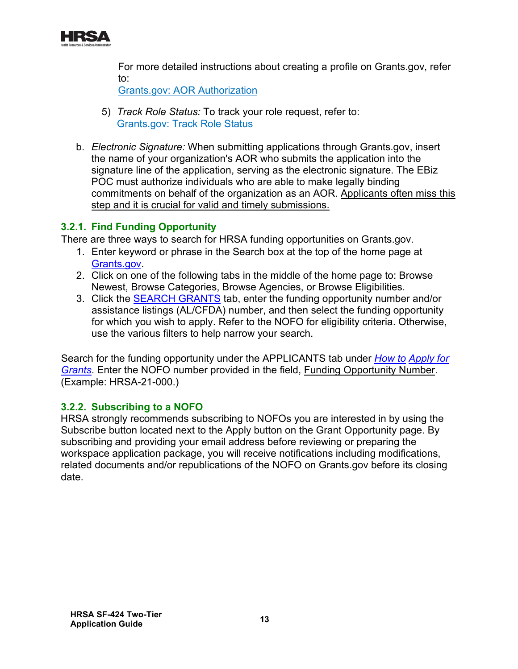

For more detailed instructions about creating a profile on Grants.gov, refer to:

[Grants.gov: AOR Authorization](https://www.grants.gov/web/grants/s2s/applicant/web-services/authenticate-aor.html?inheritRedirect=true)

- 5) *Track Role Status:* To track your role request, refer to: [Grants.gov: Track Role Status](https://www.grants.gov/web/grants/applicants/registration/track-role-status.html?inheritRedirect=true)
- b. *Electronic Signature:* When submitting applications through Grants.gov, insert the name of your organization's AOR who submits the application into the signature line of the application, serving as the electronic signature. The EBiz POC must authorize individuals who are able to make legally binding commitments on behalf of the organization as an AOR. Applicants often miss this step and it is crucial for valid and timely submissions.

# **3.2.1. Find Funding Opportunity**

There are three ways to search for HRSA funding opportunities on Grants.gov.

- . [Grants.gov](http://www.grants.gov/) 1. Enter keyword or phrase in the Search box at the top of the home page at
- 2. Click on one of the following tabs in the middle of the home page to: Browse Newest, Browse Categories, Browse Agencies, or Browse Eligibilities.
- 3. Click the [SEARCH GRANTS](http://www.grants.gov/web/grants/search-grants.html) tab, enter the funding opportunity number and/or assistance listings (AL/CFDA) number, and then select the funding opportunity for which you wish to apply. Refer to the NOFO for eligibility criteria. Otherwise, use the various filters to help narrow your search.

Search for the funding opportunity under the APPLICANTS tab under *[How to](https://www.grants.gov/web/grants/applicants/apply-for-grants.html) [Apply for](http://www.grants.gov/web/grants/applicants/apply-for-grants.html)  [Grants](http://www.grants.gov/web/grants/applicants/apply-for-grants.html)*. Enter the NOFO number provided in the field, Funding Opportunity Number. (Example: HRSA-21-000.)

# **3.2.2. Subscribing to a NOFO**

HRSA strongly recommends subscribing to NOFOs you are interested in by using the Subscribe button located next to the Apply button on the Grant Opportunity page. By subscribing and providing your email address before reviewing or preparing the workspace application package, you will receive notifications including modifications, related documents and/or republications of the NOFO on Grants.gov before its closing date.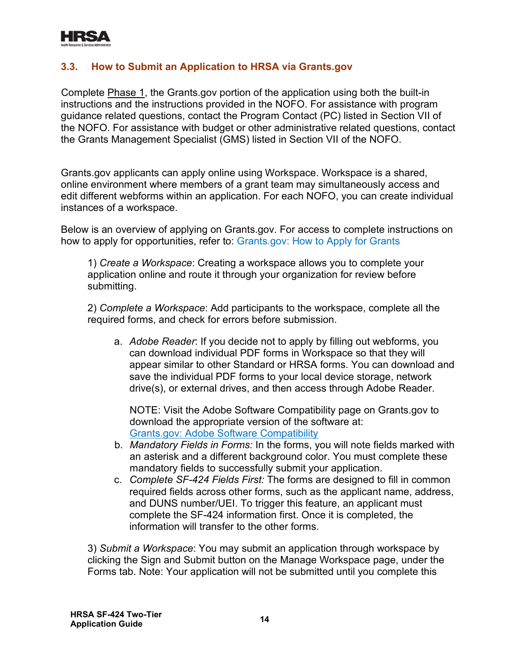

#### <span id="page-16-0"></span>**3.3. How to Submit an Application to HRSA via Grants.gov**

Complete Phase 1, the Grants.gov portion of the application using both the built-in instructions and the instructions provided in the NOFO. For assistance with program guidance related questions, contact the Program Contact (PC) listed in Section VII of the NOFO. For assistance with budget or other administrative related questions, contact the Grants Management Specialist (GMS) listed in Section VII of the NOFO.

Grants.gov applicants can apply online using Workspace. Workspace is a shared, online environment where members of a grant team may simultaneously access and edit different webforms within an application. For each NOFO, you can create individual instances of a workspace.

Below is an overview of applying on Grants.gov. For access to complete instructions on how to apply for opportunities, refer to: [Grants.gov: How to Apply for Grants](https://www.grants.gov/web/grants/applicants/apply-for-grants.html)

1) *Create a Workspace*: Creating a workspace allows you to complete your application online and route it through your organization for review before submitting.

2) *Complete a Workspace*: Add participants to the workspace, complete all the required forms, and check for errors before submission.

a. *Adobe Reader*: If you decide not to apply by filling out webforms, you can download individual PDF forms in Workspace so that they will appear similar to other Standard or HRSA forms. You can download and save the individual PDF forms to your local device storage, network drive(s), or external drives, and then access through Adobe Reader.

NOTE: Visit the Adobe Software Compatibility page on Grants.gov to download the appropriate version of the software at: [Grants.gov: Adobe Software Compatibility](https://www.grants.gov/web/grants/applicants/adobe-software-compatibility.html)

- b. *Mandatory Fields in Forms:* In the forms, you will note fields marked with an asterisk and a different background color. You must complete these mandatory fields to successfully submit your application.
- c. *Complete SF-424 Fields First:* The forms are designed to fill in common required fields across other forms, such as the applicant name, address, and DUNS number/UEI. To trigger this feature, an applicant must complete the SF-424 information first. Once it is completed, the information will transfer to the other forms.

3) *Submit a Workspace*: You may submit an application through workspace by clicking the Sign and Submit button on the Manage Workspace page, under the Forms tab. Note: Your application will not be submitted until you complete this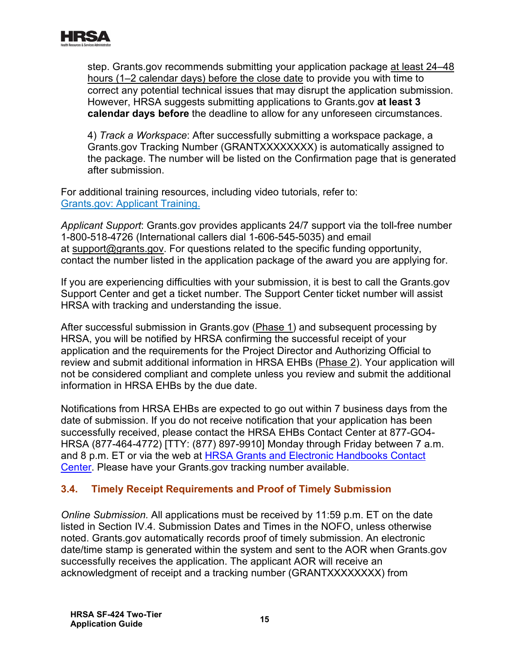

step. Grants.gov recommends submitting your application package at least 24–48 hours (1–2 calendar days) before the close date to provide you with time to correct any potential technical issues that may disrupt the application submission. However, HRSA suggests submitting applications to Grants.gov **at least 3 calendar days before** the deadline to allow for any unforeseen circumstances.

4) *Track a Workspace*: After successfully submitting a workspace package, a Grants.gov Tracking Number (GRANTXXXXXXXX) is automatically assigned to the package. The number will be listed on the Confirmation page that is generated after submission.

. [Grants.gov: Applicant Training](https://www.grants.gov/web/grants/applicants/applicant-training.html) For additional training resources, including video tutorials, refer to:

*Applicant Support*: Grants.gov provides applicants 24/7 support via the toll-free number 1-800-518-4726 (International callers dial 1-606-545-5035) and email at [support@grants.gov.](mailto:support@grants.gov) For questions related to the specific funding opportunity, contact the number listed in the application package of the award you are applying for.

If you are experiencing difficulties with your submission, it is best to call the Grants.gov Support Center and get a ticket number. The Support Center ticket number will assist HRSA with tracking and understanding the issue.

After successful submission in Grants.gov (Phase 1) and subsequent processing by HRSA, you will be notified by HRSA confirming the successful receipt of your application and the requirements for the Project Director and Authorizing Official to review and submit additional information in HRSA EHBs (Phase 2). Your application will not be considered compliant and complete unless you review and submit the additional information in HRSA EHBs by the due date.

Notifications from HRSA EHBs are expected to go out within 7 business days from the date of submission. If you do not receive notification that your application has been successfully received, please contact the HRSA EHBs Contact Center at 877-GO4- HRSA (877-464-4772) [TTY: (877) 897-9910] Monday through Friday between 7 a.m. and 8 p.m. ET or via the web at [HRSA Grants and Electronic Handbooks Contact](http://www.hrsa.gov/about/contact/ehbhelp.aspx)  [Center.](http://www.hrsa.gov/about/contact/ehbhelp.aspx) Please have your Grants.gov tracking number available.

# <span id="page-17-0"></span>**3.4. Timely Receipt Requirements and Proof of Timely Submission**

*Online Submission.* All applications must be received by 11:59 p.m. ET on the date listed in Section IV.4. Submission Dates and Times in the NOFO, unless otherwise noted. Grants.gov automatically records proof of timely submission. An electronic date/time stamp is generated within the system and sent to the AOR when Grants.gov successfully receives the application. The applicant AOR will receive an acknowledgment of receipt and a tracking number (GRANTXXXXXXXX) from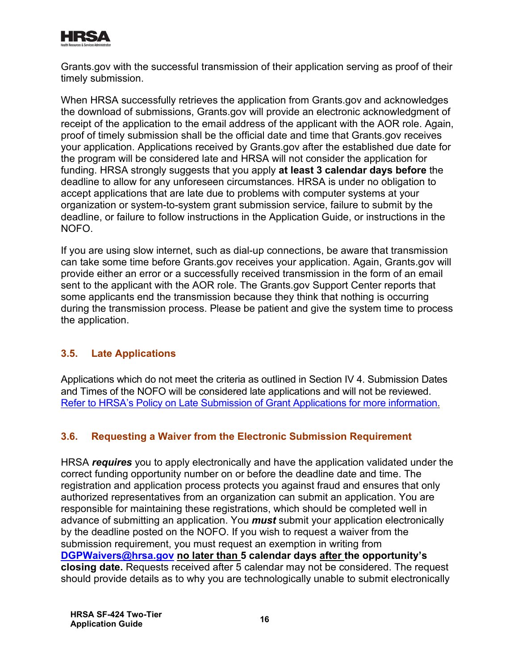

Grants.gov with the successful transmission of their application serving as proof of their timely submission.

When HRSA successfully retrieves the application from Grants.gov and acknowledges the download of submissions, Grants.gov will provide an electronic acknowledgment of receipt of the application to the email address of the applicant with the AOR role. Again, proof of timely submission shall be the official date and time that Grants.gov receives your application. Applications received by Grants.gov after the established due date for the program will be considered late and HRSA will not consider the application for funding. HRSA strongly suggests that you apply **at least 3 calendar days before** the deadline to allow for any unforeseen circumstances. HRSA is under no obligation to accept applications that are late due to problems with computer systems at your organization or system-to-system grant submission service, failure to submit by the deadline, or failure to follow instructions in the Application Guide, or instructions in the NOFO.

If you are using slow internet, such as dial-up connections, be aware that transmission can take some time before Grants.gov receives your application. Again, Grants.gov will provide either an error or a successfully received transmission in the form of an email sent to the applicant with the AOR role. The Grants.gov Support Center reports that some applicants end the transmission because they think that nothing is occurring during the transmission process. Please be patient and give the system time to process the application.

# <span id="page-18-0"></span>**3.5. Late Applications**

Applications which do not meet the criteria as outlined in Section IV 4. Submission Dates and Times of the NOFO will be considered late applications and will not be reviewed. [Refer to HRSA's Policy on Late Submission of Grant Applications for more information.](https://www.hrsa.gov/grants/apply/waiver/index.html)

# <span id="page-18-1"></span>**3.6. Requesting a Waiver from the Electronic Submission Requirement**

HRSA *requires* you to apply electronically and have the application validated under the correct funding opportunity number on or before the deadline date and time. The registration and application process protects you against fraud and ensures that only authorized representatives from an organization can submit an application. You are responsible for maintaining these registrations, which should be completed well in advance of submitting an application. You *must* submit your application electronically by the deadline posted on the NOFO. If you wish to request a waiver from the submission requirement, you must request an exemption in writing from **[DGPWaivers@hrsa.gov](mailto:DGPWaivers@hrsa.gov) no later than 5 calendar days after the opportunity's closing date.** Requests received after 5 calendar may not be considered. The request should provide details as to why you are technologically unable to submit electronically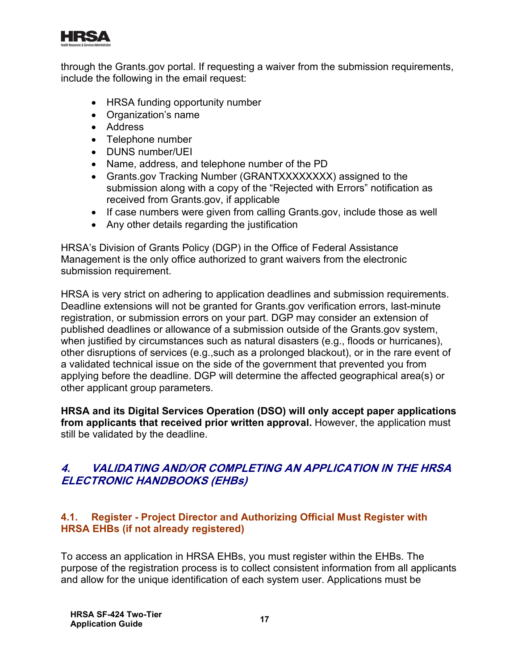

through the Grants.gov portal. If requesting a waiver from the submission requirements, include the following in the email request:

- HRSA funding opportunity number
- Organization's name
- Address
- Telephone number
- DUNS number/UEI
- Name, address, and telephone number of the PD
- Grants.gov Tracking Number (GRANTXXXXXXXX) assigned to the submission along with a copy of the "Rejected with Errors" notification as received from Grants.gov, if applicable
- If case numbers were given from calling Grants.gov, include those as well
- Any other details regarding the justification

HRSA's Division of Grants Policy (DGP) in the Office of Federal Assistance Management is the only office authorized to grant waivers from the electronic submission requirement.

HRSA is very strict on adhering to application deadlines and submission requirements. Deadline extensions will not be granted for Grants.gov verification errors, last-minute registration, or submission errors on your part. DGP may consider an extension of published deadlines or allowance of a submission outside of the Grants.gov system, when justified by circumstances such as natural disasters (e.g., floods or hurricanes), other disruptions of services (e.g.,such as a prolonged blackout), or in the rare event of a validated technical issue on the side of the government that prevented you from applying before the deadline. DGP will determine the affected geographical area(s) or other applicant group parameters.

**HRSA and its Digital Services Operation (DSO) will only accept paper applications from applicants that received prior written approval.** However, the application must still be validated by the deadline.

# <span id="page-19-0"></span>**4. VALIDATING AND/OR COMPLETING AN APPLICATION IN THE HRSA ELECTRONIC HANDBOOKS (EHBs)**

#### <span id="page-19-1"></span>**4.1. Register - Project Director and Authorizing Official Must Register with HRSA EHBs (if not already registered)**

To access an application in HRSA EHBs, you must register within the EHBs. The purpose of the registration process is to collect consistent information from all applicants and allow for the unique identification of each system user. Applications must be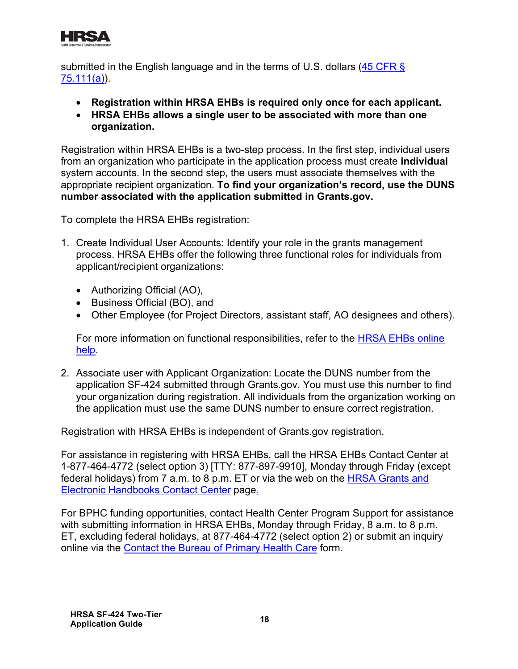

submitted in the English language and in the terms of U.S. dollars (45 CFR  $\S$ ) [75.111\(a\)\)](https://www.ecfr.gov/cgi-bin/retrieveECFR?gp=1&SID=4d52364ec83fab994c665943dadf9cf7&ty=HTML&h=L&r=PART&n=pt45.1.75).

- **Registration within HRSA EHBs is required only once for each applicant.**
- **HRSA EHBs allows a single user to be associated with more than one organization.**

Registration within HRSA EHBs is a two-step process. In the first step, individual users from an organization who participate in the application process must create **individual** system accounts. In the second step, the users must associate themselves with the appropriate recipient organization. **To find your organization's record, use the DUNS number associated with the application submitted in Grants.gov.**

To complete the HRSA EHBs registration:

- 1. Create Individual User Accounts: Identify your role in the grants management process. HRSA EHBs offer the following three functional roles for individuals from applicant/recipient organizations:
	- Authorizing Official (AO),
	- Business Official (BO), and
	- Other Employee (for Project Directors, assistant staff, AO designees and others).

. [help](https://help.hrsa.gov/display/public/EHBSKBFG/Index;jsessionid=92CE70F7CD78E93D56078A244756ADC4?IsPopUp=true) For more information on functional responsibilities, refer to the [HRSA EHBs](https://help.hrsa.gov/display/public/EHBSKBFG/Index;jsessionid=92CE70F7CD78E93D56078A244756ADC4?IsPopUp=true) online

2. Associate user with Applicant Organization: Locate the DUNS number from the application SF-424 submitted through Grants.gov. You must use this number to find your organization during registration. All individuals from the organization working on the application must use the same DUNS number to ensure correct registration.

Registration with HRSA EHBs is independent of Grants.gov registration.

<u>[Electronic Handbooks Contact Center](http://www.hrsa.gov/about/contact/ehbhelp.aspx)</u> page<u>.</u> For assistance in registering with HRSA EHBs, call the HRSA EHBs Contact Center at 1-877-464-4772 (select option 3) [TTY: 877-897-9910], Monday through Friday (except federal holidays) from 7 a.m. to 8 p.m. ET or via the web on the [HRSA Grants and](http://www.hrsa.gov/about/contact/ehbhelp.aspx) 

online via the <u>Contact the Bureau o[f](https://www.hrsa.gov/about/contact/bphc.aspx) Primary Health Care</u> form. For BPHC funding opportunities, contact Health Center Program Support for assistance with submitting information in HRSA EHBs, Monday through Friday, 8 a.m. to 8 p.m. ET, excluding federal holidays, at 877-464-4772 (select option 2) or submit an inquiry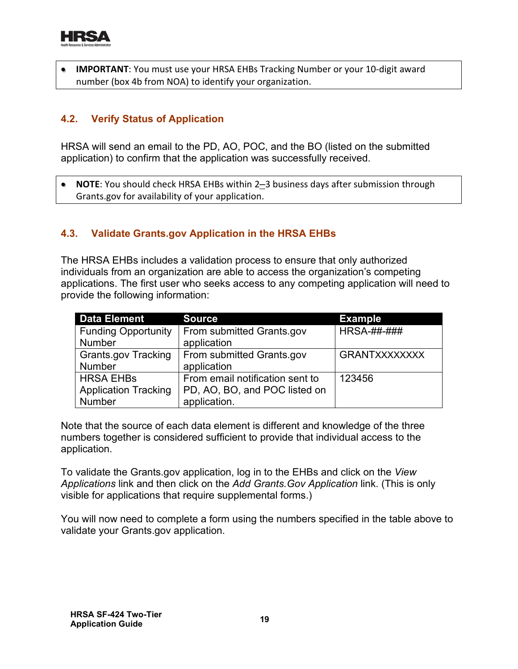

**IMPORTANT**: You must use your HRSA EHBs Tracking Number or your 10-digit award number (box 4b from NOA) to identify your organization.

# <span id="page-21-0"></span>**4.2. Verify Status of Application**

HRSA will send an email to the PD, AO, POC, and the BO (listed on the submitted application) to confirm that the application was successfully received.

• **NOTE**: You should check HRSA EHBs within 2–3 business days after submission through Grants.gov for availability of your application.

# <span id="page-21-1"></span>**4.3. Validate Grants.gov Application in the HRSA EHBs**

The HRSA EHBs includes a validation process to ensure that only authorized individuals from an organization are able to access the organization's competing applications. The first user who seeks access to any competing application will need to provide the following information:

| Data Element                | <b>Source</b>                   | <b>Example</b>       |
|-----------------------------|---------------------------------|----------------------|
| <b>Funding Opportunity</b>  | From submitted Grants.gov       | <b>HRSA-##-###</b>   |
| <b>Number</b>               | application                     |                      |
| <b>Grants.gov Tracking</b>  | From submitted Grants.gov       | <b>GRANTXXXXXXXX</b> |
| <b>Number</b>               | application                     |                      |
| <b>HRSA EHBS</b>            | From email notification sent to | 123456               |
| <b>Application Tracking</b> | PD, AO, BO, and POC listed on   |                      |
| Number                      | application.                    |                      |

Note that the source of each data element is different and knowledge of the three numbers together is considered sufficient to provide that individual access to the application.

To validate the Grants.gov application, log in to the EHBs and click on the *View Applications* link and then click on the *Add Grants.Gov Application* link. (This is only visible for applications that require supplemental forms.)

You will now need to complete a form using the numbers specified in the table above to validate your Grants.gov application.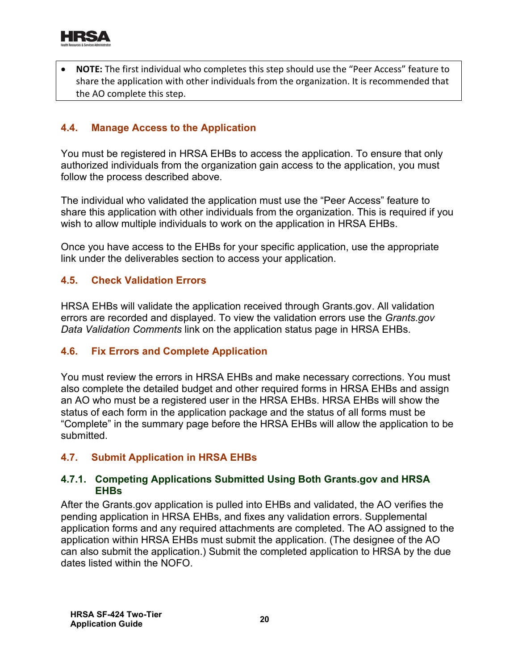

• **NOTE:** The first individual who completes this step should use the "Peer Access" feature to share the application with other individuals from the organization. It is recommended that the AO complete this step.

#### <span id="page-22-0"></span>**4.4. Manage Access to the Application**

You must be registered in HRSA EHBs to access the application. To ensure that only authorized individuals from the organization gain access to the application, you must follow the process described above.

The individual who validated the application must use the "Peer Access" feature to share this application with other individuals from the organization. This is required if you wish to allow multiple individuals to work on the application in HRSA EHBs.

Once you have access to the EHBs for your specific application, use the appropriate link under the deliverables section to access your application.

#### <span id="page-22-1"></span>**4.5. Check Validation Errors**

HRSA EHBs will validate the application received through Grants.gov. All validation errors are recorded and displayed. To view the validation errors use the *Grants.gov Data Validation Comments* link on the application status page in HRSA EHBs.

#### <span id="page-22-2"></span>**4.6. Fix Errors and Complete Application**

You must review the errors in HRSA EHBs and make necessary corrections. You must also complete the detailed budget and other required forms in HRSA EHBs and assign an AO who must be a registered user in the HRSA EHBs. HRSA EHBs will show the status of each form in the application package and the status of all forms must be "Complete" in the summary page before the HRSA EHBs will allow the application to be submitted.

# <span id="page-22-3"></span>**4.7. Submit Application in HRSA EHBs**

#### **4.7.1. Competing Applications Submitted Using Both Grants.gov and HRSA EHBs**

After the Grants.gov application is pulled into EHBs and validated, the AO verifies the pending application in HRSA EHBs, and fixes any validation errors. Supplemental application forms and any required attachments are completed. The AO assigned to the application within HRSA EHBs must submit the application. (The designee of the AO can also submit the application.) Submit the completed application to HRSA by the due dates listed within the NOFO.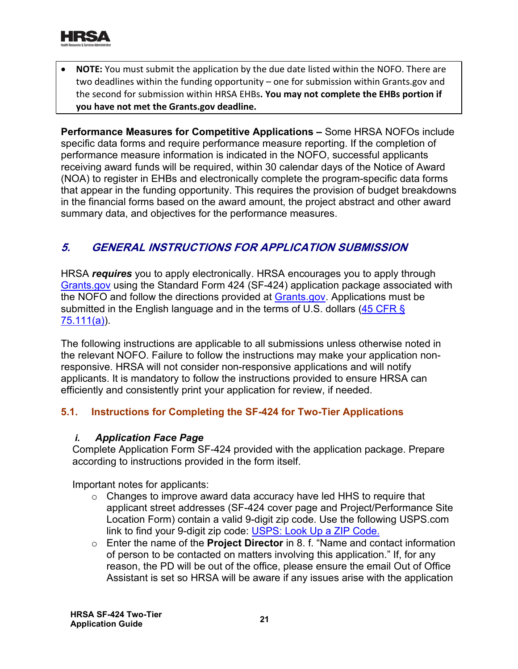

• **NOTE:** You must submit the application by the due date listed within the NOFO. There are two deadlines within the funding opportunity – one for submission within Grants.gov and the second for submission within HRSA EHBs**. You may not complete the EHBs portion if you have not met the Grants.gov deadline.**

**Performance Measures for Competitive Applications –** Some HRSA NOFOs include specific data forms and require performance measure reporting. If the completion of performance measure information is indicated in the NOFO, successful applicants receiving award funds will be required, within 30 calendar days of the Notice of Award (NOA) to register in EHBs and electronically complete the program-specific data forms that appear in the funding opportunity. This requires the provision of budget breakdowns in the financial forms based on the award amount, the project abstract and other award summary data, and objectives for the performance measures.

# <span id="page-23-2"></span><span id="page-23-0"></span>**5. GENERAL INSTRUCTIONS FOR APPLICATION SUBMISSION**

<span id="page-23-3"></span><mark>[75.111\(a\)](https://www.ecfr.gov/cgi-bin/retrieveECFR?gp=1&SID=4d52364ec83fab994c665943dadf9cf7&ty=HTML&h=L&r=PART&n=pt45.1.75)</mark>). HRSA *requires* you to apply electronically. HRSA encourages you to apply through [Grants.gov](https://www.grants.gov/) using the Standard Form 424 (SF-424) application package associated with the NOFO and follow the directions provided at [Grants.gov.](http://grants.nih.gov/grants/guide/url_redirect.htm?id=11127) Applications must be submitted in the English language and in the terms of U.S. dollars  $(45 \text{ CFR})$ 

The following instructions are applicable to all submissions unless otherwise noted in the relevant NOFO. Failure to follow the instructions may make your application nonresponsive. HRSA will not consider non-responsive applications and will notify applicants. It is mandatory to follow the instructions provided to ensure HRSA can efficiently and consistently print your application for review, if needed.

#### <span id="page-23-1"></span>**5.1. Instructions for Completing the SF-424 for Two-Tier Applications**

#### *i. Application Face Page*

Complete Application Form SF-424 provided with the application package. Prepare according to instructions provided in the form itself.

Important notes for applicants:

- link to find your 9-digit zip code: <u>[USPS: Look Up a ZIP Code](https://tools.usps.com/go/ZipLookupAction!input.action?mode=1&refresh=true).</u>  $\circ$  Changes to improve award data accuracy have led HHS to require that applicant street addresses (SF-424 cover page and Project/Performance Site Location Form) contain a valid 9-digit zip code. Use the following USPS.com
- o Enter the name of the **Project Director** in 8. f. "Name and contact information of person to be contacted on matters involving this application." If, for any reason, the PD will be out of the office, please ensure the email Out of Office Assistant is set so HRSA will be aware if any issues arise with the application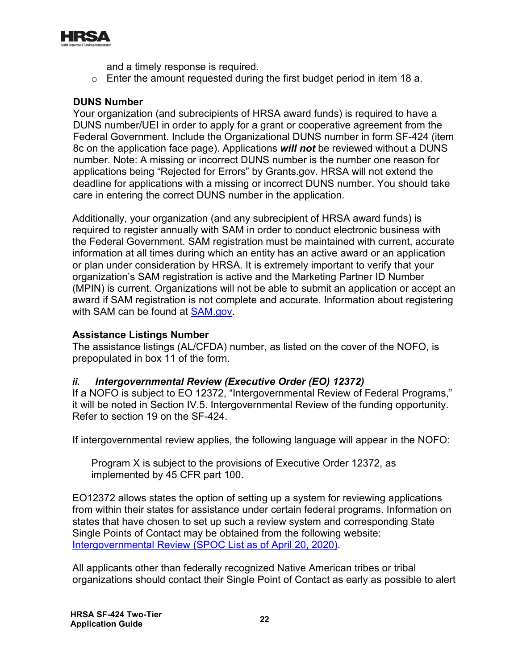

and a timely response is required.

 $\circ$  Enter the amount requested during the first budget period in item 18 a.

#### **DUNS Number**

Your organization (and subrecipients of HRSA award funds) is required to have a DUNS number/UEI in order to apply for a grant or cooperative agreement from the Federal Government. Include the Organizational DUNS number in form SF-424 (item 8c on the application face page). Applications *will not* be reviewed without a DUNS number. Note: A missing or incorrect DUNS number is the number one reason for applications being "Rejected for Errors" by Grants.gov. HRSA will not extend the deadline for applications with a missing or incorrect DUNS number. You should take care in entering the correct DUNS number in the application.

with SAM can be found at <u>SAM.gov</u>. Additionally, your organization (and any subrecipient of HRSA award funds) is required to register annually with SAM in order to conduct electronic business with the Federal Government. SAM registration must be maintained with current, accurate information at all times during which an entity has an active award or an application or plan under consideration by HRSA. It is extremely important to verify that your organization's SAM registration is active and the Marketing Partner ID Number (MPIN) is current. Organizations will not be able to submit an application or accept an award if SAM registration is not complete and accurate. Information about registering

#### **Assistance Listings Number**

The assistance listings (AL/CFDA) number, as listed on the cover of the NOFO, is prepopulated in box 11 of the form.

#### *ii. Intergovernmental Review (Executive Order (EO) 12372)*

If a NOFO is subject to EO 12372, "Intergovernmental Review of Federal Programs," it will be noted in Section IV.5. Intergovernmental Review of the funding opportunity. Refer to section 19 on the SF-424.

If intergovernmental review applies, the following language will appear in the NOFO:

Program X is subject to the provisions of Executive Order 12372, as implemented by 45 CFR part 100.

. [Intergovernmental Review \(SPOC List as of April 20, 2020\)](https://www.whitehouse.gov/wp-content/uploads/2020/04/SPOC-4-13-20.pdf) EO12372 allows states the option of setting up a system for reviewing applications from within their states for assistance under certain federal programs. Information on states that have chosen to set up such a review system and corresponding State Single Points of Contact may be obtained from the following website:

All applicants other than federally recognized Native American tribes or tribal organizations should contact their Single Point of Contact as early as possible to alert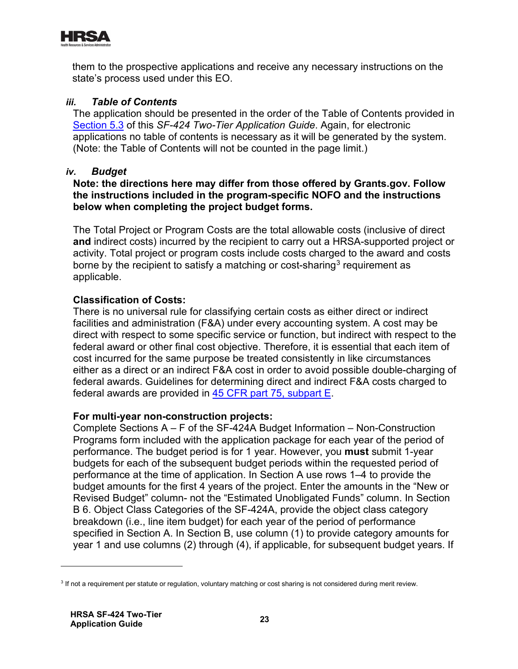

them to the prospective applications and receive any necessary instructions on the state's process used under this EO.

#### *iii. Table of Contents*

The application should be presented in the order of the Table of Contents provided in [Section 5.3](#page-45-1) of this *SF-424 Two-Tier Application Guide*. Again, for electronic applications no table of contents is necessary as it will be generated by the system. (Note: the Table of Contents will not be counted in the page limit.)

#### *iv. Budget*

#### **Note: the directions here may differ from those offered by Grants.gov. Follow the instructions included in the program-specific NOFO and the instructions below when completing the project budget forms.**

The Total Project or Program Costs are the total allowable costs (inclusive of direct **and** indirect costs) incurred by the recipient to carry out a HRSA-supported project or activity. Total project or program costs include costs charged to the award and costs borne by the recipient to satisfy a matching or cost-sharing<sup>[3](#page-25-0)</sup> requirement as applicable.

#### **Classification of Costs:**

federal awards are provided in <u>45 CFR part 75, subpart E</u> There is no universal rule for classifying certain costs as either direct or indirect facilities and administration (F&A) under every accounting system. A cost may be direct with respect to some specific service or function, but indirect with respect to the federal award or other final cost objective. Therefore, it is essential that each item of cost incurred for the same purpose be treated consistently in like circumstances either as a direct or an indirect F&A cost in order to avoid possible double-charging of federal awards. Guidelines for determining direct and indirect F&A costs charged to

#### **For multi-year non-construction projects:**

Complete Sections A – F of the SF-424A Budget Information – Non-Construction Programs form included with the application package for each year of the period of performance. The budget period is for 1 year. However, you **must** submit 1-year budgets for each of the subsequent budget periods within the requested period of performance at the time of application. In Section A use rows 1–4 to provide the budget amounts for the first 4 years of the project. Enter the amounts in the "New or Revised Budget" column- not the "Estimated Unobligated Funds" column. In Section B 6. Object Class Categories of the SF-424A, provide the object class category breakdown (i.e., line item budget) for each year of the period of performance specified in Section A. In Section B, use column (1) to provide category amounts for year 1 and use columns (2) through (4), if applicable, for subsequent budget years. If

<span id="page-25-0"></span><sup>&</sup>lt;sup>3</sup> If not a requirement per statute or regulation, voluntary matching or cost sharing is not considered during merit review.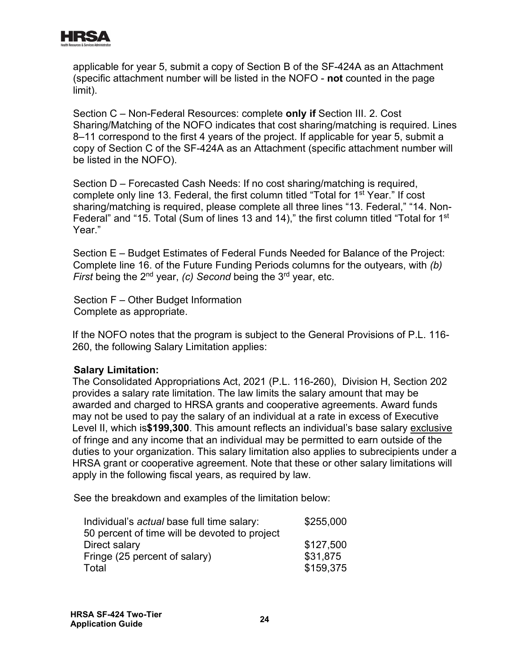

applicable for year 5, submit a copy of Section B of the SF-424A as an Attachment (specific attachment number will be listed in the NOFO - **not** counted in the page limit).

Section C – Non-Federal Resources: complete **only if** Section III. 2. Cost Sharing/Matching of the NOFO indicates that cost sharing/matching is required. Lines 8–11 correspond to the first 4 years of the project. If applicable for year 5, submit a copy of Section C of the SF-424A as an Attachment (specific attachment number will be listed in the NOFO).

Section D – Forecasted Cash Needs: If no cost sharing/matching is required, complete only line 13. Federal, the first column titled "Total for 1st Year." If cost sharing/matching is required, please complete all three lines "13. Federal," "14. Non-Federal" and "15. Total (Sum of lines 13 and 14)," the first column titled "Total for 1<sup>st</sup> Year."

Section E – Budget Estimates of Federal Funds Needed for Balance of the Project: Complete line 16. of the Future Funding Periods columns for the outyears, with *(b) First* being the 2<sup>nd</sup> year, *(c)* Second being the 3<sup>rd</sup> year, etc.

Section F – Other Budget Information Complete as appropriate.

If the NOFO notes that the program is subject to the General Provisions of P.L. 116- 260, the following Salary Limitation applies:

#### **Salary Limitation:**

The Consolidated Appropriations Act, 2021 (P.L. 116-260), Division H, Section 202 provides a salary rate limitation. The law limits the salary amount that may be awarded and charged to HRSA grants and cooperative agreements. Award funds may not be used to pay the salary of an individual at a rate in excess of Executive Level II, which is**\$199,300**. This amount reflects an individual's base salary exclusive of fringe and any income that an individual may be permitted to earn outside of the duties to your organization. This salary limitation also applies to subrecipients under a HRSA grant or cooperative agreement. Note that these or other salary limitations will apply in the following fiscal years, as required by law.

See the breakdown and examples of the limitation below:

| Individual's actual base full time salary:    | \$255,000 |
|-----------------------------------------------|-----------|
| 50 percent of time will be devoted to project |           |
| Direct salary                                 | \$127,500 |
| Fringe (25 percent of salary)                 | \$31,875  |
| Total                                         | \$159,375 |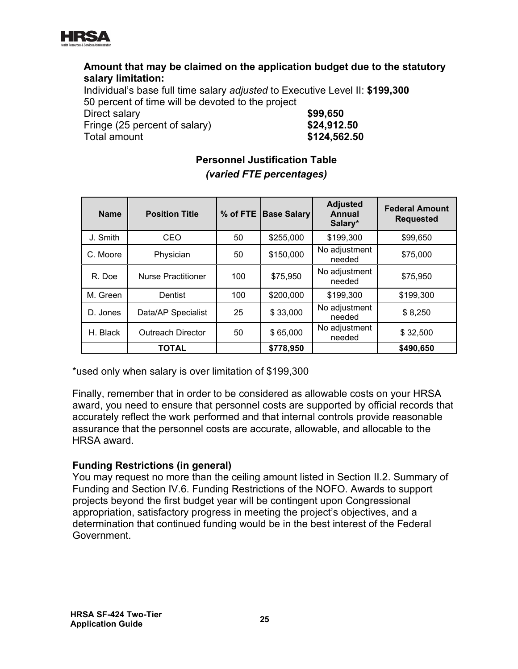

#### **Amount that may be claimed on the application budget due to the statutory salary limitation:**

Individual's base full time salary *adjusted* to Executive Level II: **\$199,300** 50 percent of time will be devoted to the project

<span id="page-27-0"></span>Direct salary **\$99,650** Fringe (25 percent of salary) **\$24,912.50** Total amount **\$124,562.50**

# **Personnel Justification Table** *(varied FTE percentages)* **Adjusted Annual**

| <b>Name</b> | <b>Position Title</b>     | $%$ of FTE $ $ | <b>Base Salary</b> | , , , , , , , , , , ,<br><b>Annual</b><br>Salary* | <b>Federal Amount</b><br><b>Requested</b> |
|-------------|---------------------------|----------------|--------------------|---------------------------------------------------|-------------------------------------------|
| J. Smith    | CEO                       | 50             | \$255,000          | \$199,300                                         | \$99,650                                  |
| C. Moore    | Physician                 | 50             | \$150,000          | No adjustment<br>needed                           | \$75,000                                  |
| R. Doe      | <b>Nurse Practitioner</b> | 100            | \$75,950           | No adjustment<br>needed                           | \$75,950                                  |
| M. Green    | Dentist                   | 100            | \$200,000          | \$199,300                                         | \$199,300                                 |
| D. Jones    | Data/AP Specialist        | 25             | \$33,000           | No adjustment<br>needed                           | \$8,250                                   |
| H. Black    | <b>Outreach Director</b>  | 50             | \$65,000           | No adjustment<br>needed                           | \$32,500                                  |
|             | TOTAL                     |                | \$778,950          |                                                   | \$490,650                                 |

\*used only when salary is over limitation of \$199,300

Finally, remember that in order to be considered as allowable costs on your HRSA award, you need to ensure that personnel costs are supported by official records that accurately reflect the work performed and that internal controls provide reasonable assurance that the personnel costs are accurate, allowable, and allocable to the HRSA award.

# **Funding Restrictions (in general)**

You may request no more than the ceiling amount listed in Section II.2. Summary of Funding and Section IV.6. Funding Restrictions of the NOFO. Awards to support projects beyond the first budget year will be contingent upon Congressional appropriation, satisfactory progress in meeting the project's objectives, and a determination that continued funding would be in the best interest of the Federal Government.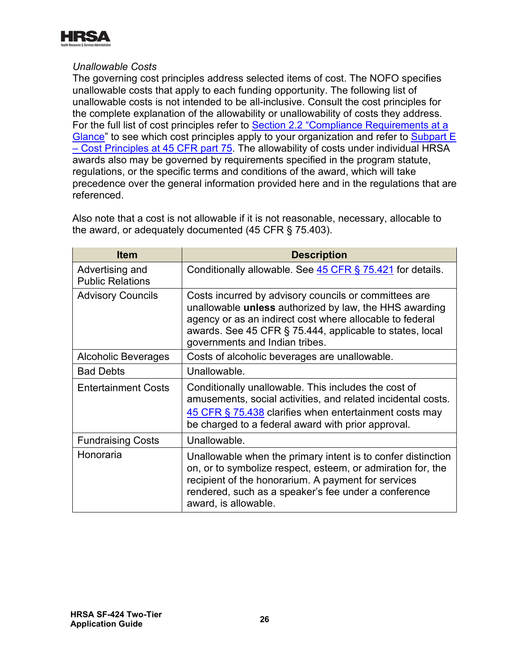

#### *Unallowable Costs*

The governing cost principles address selected items of cost. The NOFO specifies unallowable costs that apply to each funding opportunity. The following list of unallowable costs is not intended to be all-inclusive. Consult the cost principles for the complete explanation of the allowability or unallowability of costs they address. For the full list of cost principles refer to Section 2.2 "Compliance Requirements at a [Glance"](#page-10-0) to see which cost principles apply to your organization and refer to Subpart E [– Cost Principles at 45 CFR part 75.](https://www.ecfr.gov/cgi-bin/retrieveECFR?gp=1&SID=4d52364ec83fab994c665943dadf9cf7&ty=HTML&h=L&r=PART&n=pt45.1.75) The allowability of costs under individual HRSA awards also may be governed by requirements specified in the program statute, regulations, or the specific terms and conditions of the award, which will take precedence over the general information provided here and in the regulations that are referenced.

| <b>Item</b>                                | <b>Description</b>                                                                                                                                                                                                                                                        |
|--------------------------------------------|---------------------------------------------------------------------------------------------------------------------------------------------------------------------------------------------------------------------------------------------------------------------------|
| Advertising and<br><b>Public Relations</b> | Conditionally allowable. See 45 CFR § 75.421 for details.                                                                                                                                                                                                                 |
| <b>Advisory Councils</b>                   | Costs incurred by advisory councils or committees are<br>unallowable unless authorized by law, the HHS awarding<br>agency or as an indirect cost where allocable to federal<br>awards. See 45 CFR § 75.444, applicable to states, local<br>governments and Indian tribes. |
| Alcoholic Beverages                        | Costs of alcoholic beverages are unallowable.                                                                                                                                                                                                                             |
| <b>Bad Debts</b>                           | Unallowable.                                                                                                                                                                                                                                                              |
| <b>Entertainment Costs</b>                 | Conditionally unallowable. This includes the cost of<br>amusements, social activities, and related incidental costs.<br>45 CFR § 75.438 clarifies when entertainment costs may<br>be charged to a federal award with prior approval.                                      |
| <b>Fundraising Costs</b>                   | Unallowable.                                                                                                                                                                                                                                                              |
| Honoraria                                  | Unallowable when the primary intent is to confer distinction<br>on, or to symbolize respect, esteem, or admiration for, the<br>recipient of the honorarium. A payment for services<br>rendered, such as a speaker's fee under a conference<br>award, is allowable.        |

Also note that a cost is not allowable if it is not reasonable, necessary, allocable to the award, or adequately documented (45 CFR § 75.403).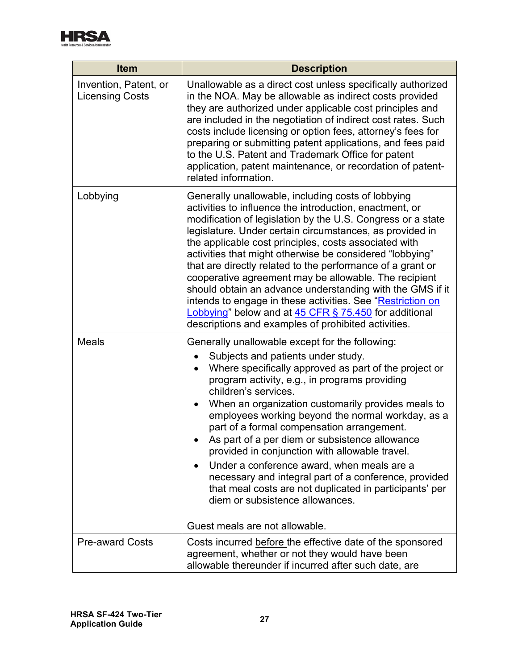

| <b>Item</b>                                     | <b>Description</b>                                                                                                                                                                                                                                                                                                                                                                                                                                                                                                                                                                                                                                                                                                                       |  |  |
|-------------------------------------------------|------------------------------------------------------------------------------------------------------------------------------------------------------------------------------------------------------------------------------------------------------------------------------------------------------------------------------------------------------------------------------------------------------------------------------------------------------------------------------------------------------------------------------------------------------------------------------------------------------------------------------------------------------------------------------------------------------------------------------------------|--|--|
| Invention, Patent, or<br><b>Licensing Costs</b> | Unallowable as a direct cost unless specifically authorized<br>in the NOA. May be allowable as indirect costs provided<br>they are authorized under applicable cost principles and<br>are included in the negotiation of indirect cost rates. Such<br>costs include licensing or option fees, attorney's fees for<br>preparing or submitting patent applications, and fees paid<br>to the U.S. Patent and Trademark Office for patent<br>application, patent maintenance, or recordation of patent-<br>related information.                                                                                                                                                                                                              |  |  |
| Lobbying                                        | Generally unallowable, including costs of lobbying<br>activities to influence the introduction, enactment, or<br>modification of legislation by the U.S. Congress or a state<br>legislature. Under certain circumstances, as provided in<br>the applicable cost principles, costs associated with<br>activities that might otherwise be considered "lobbying"<br>that are directly related to the performance of a grant or<br>cooperative agreement may be allowable. The recipient<br>should obtain an advance understanding with the GMS if it<br>intends to engage in these activities. See "Restriction on<br>Lobbying" below and at 45 CFR § 75.450 for additional<br>descriptions and examples of prohibited activities.          |  |  |
| <b>Meals</b>                                    | Generally unallowable except for the following:<br>Subjects and patients under study.<br>Where specifically approved as part of the project or<br>$\bullet$<br>program activity, e.g., in programs providing<br>children's services.<br>When an organization customarily provides meals to<br>employees working beyond the normal workday, as a<br>part of a formal compensation arrangement.<br>As part of a per diem or subsistence allowance<br>provided in conjunction with allowable travel.<br>Under a conference award, when meals are a<br>necessary and integral part of a conference, provided<br>that meal costs are not duplicated in participants' per<br>diem or subsistence allowances.<br>Guest meals are not allowable. |  |  |
| <b>Pre-award Costs</b>                          | Costs incurred before the effective date of the sponsored                                                                                                                                                                                                                                                                                                                                                                                                                                                                                                                                                                                                                                                                                |  |  |
|                                                 | agreement, whether or not they would have been<br>allowable thereunder if incurred after such date, are                                                                                                                                                                                                                                                                                                                                                                                                                                                                                                                                                                                                                                  |  |  |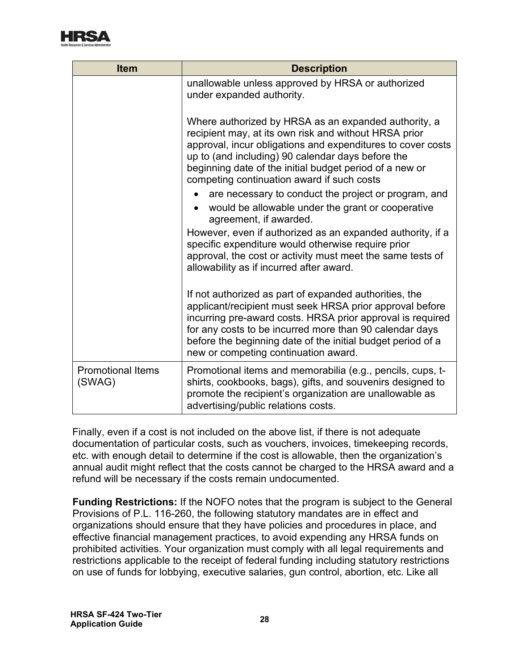

| <b>Item</b>                        | <b>Description</b>                                                                                                                                                                                                                                                                                                                                 |
|------------------------------------|----------------------------------------------------------------------------------------------------------------------------------------------------------------------------------------------------------------------------------------------------------------------------------------------------------------------------------------------------|
|                                    | unallowable unless approved by HRSA or authorized<br>under expanded authority.                                                                                                                                                                                                                                                                     |
|                                    | Where authorized by HRSA as an expanded authority, a<br>recipient may, at its own risk and without HRSA prior<br>approval, incur obligations and expenditures to cover costs<br>up to (and including) 90 calendar days before the<br>beginning date of the initial budget period of a new or<br>competing continuation award if such costs         |
|                                    | are necessary to conduct the project or program, and<br>would be allowable under the grant or cooperative<br>agreement, if awarded.                                                                                                                                                                                                                |
|                                    | However, even if authorized as an expanded authority, if a<br>specific expenditure would otherwise require prior<br>approval, the cost or activity must meet the same tests of<br>allowability as if incurred after award.                                                                                                                         |
|                                    | If not authorized as part of expanded authorities, the<br>applicant/recipient must seek HRSA prior approval before<br>incurring pre-award costs. HRSA prior approval is required<br>for any costs to be incurred more than 90 calendar days<br>before the beginning date of the initial budget period of a<br>new or competing continuation award. |
| <b>Promotional Items</b><br>(SWAG) | Promotional items and memorabilia (e.g., pencils, cups, t-<br>shirts, cookbooks, bags), gifts, and souvenirs designed to<br>promote the recipient's organization are unallowable as<br>advertising/public relations costs.                                                                                                                         |

Finally, even if a cost is not included on the above list, if there is not adequate documentation of particular costs, such as vouchers, invoices, timekeeping records, etc. with enough detail to determine if the cost is allowable, then the organization's annual audit might reflect that the costs cannot be charged to the HRSA award and a refund will be necessary if the costs remain undocumented.

<span id="page-30-0"></span>**Funding Restrictions:** If the NOFO notes that the program is subject to the General Provisions of P.L. 116-260, the following statutory mandates are in effect and organizations should ensure that they have policies and procedures in place, and effective financial management practices, to avoid expending any HRSA funds on prohibited activities. Your organization must comply with all legal requirements and restrictions applicable to the receipt of federal funding including statutory restrictions on use of funds for lobbying, executive salaries, gun control, abortion, etc. Like all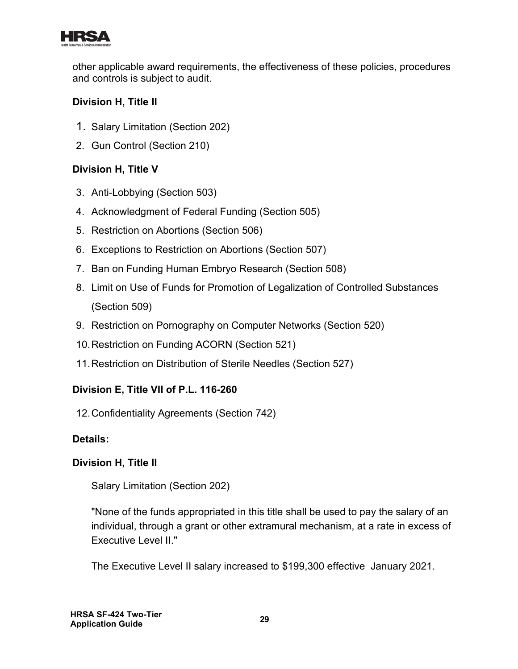

other applicable award requirements, the effectiveness of these policies, procedures and controls is subject to audit.

# **Division H, Title II**

- 1. Salary Limitation (Section 202)
- 2. Gun Control (Section 210)

# **Division H, Title V**

- 3. Anti-Lobbying (Section 503)
- 4. Acknowledgment of Federal Funding (Section 505)
- 5. Restriction on Abortions (Section 506)
- 6. Exceptions to Restriction on Abortions (Section 507)
- 7. Ban on Funding Human Embryo Research (Section 508)
- 8. Limit on Use of Funds for Promotion of Legalization of Controlled Substances (Section 509)
- 9. Restriction on Pornography on Computer Networks (Section 520)
- 10.Restriction on Funding ACORN (Section 521)
- 11.Restriction on Distribution of Sterile Needles (Section 527)

# **Division E, Title VII of P.L. 116-260**

12.Confidentiality Agreements (Section 742)

# **Details:**

# **Division H, Title II**

1. Salary Limitation (Section 202)

"None of the funds appropriated in this title shall be used to pay the salary of an individual, through a grant or other extramural mechanism, at a rate in excess of Executive Level II."

The Executive Level II salary increased to \$199,300 effective January 2021.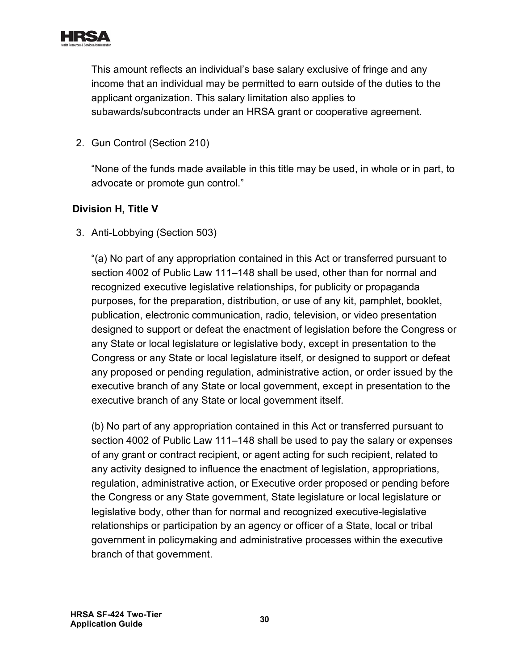

This amount reflects an individual's base salary exclusive of fringe and any income that an individual may be permitted to earn outside of the duties to the applicant organization. This salary limitation also applies to subawards/subcontracts under an HRSA grant or cooperative agreement.

2. Gun Control (Section 210)

"None of the funds made available in this title may be used, in whole or in part, to advocate or promote gun control."

#### **Division H, Title V**

3. Anti-Lobbying (Section 503)

"(a) No part of any appropriation contained in this Act or transferred pursuant to section 4002 of Public Law 111–148 shall be used, other than for normal and recognized executive legislative relationships, for publicity or propaganda purposes, for the preparation, distribution, or use of any kit, pamphlet, booklet, publication, electronic communication, radio, television, or video presentation designed to support or defeat the enactment of legislation before the Congress or any State or local legislature or legislative body, except in presentation to the Congress or any State or local legislature itself, or designed to support or defeat any proposed or pending regulation, administrative action, or order issued by the executive branch of any State or local government, except in presentation to the executive branch of any State or local government itself.

(b) No part of any appropriation contained in this Act or transferred pursuant to section 4002 of Public Law 111–148 shall be used to pay the salary or expenses of any grant or contract recipient, or agent acting for such recipient, related to any activity designed to influence the enactment of legislation, appropriations, regulation, administrative action, or Executive order proposed or pending before the Congress or any State government, State legislature or local legislature or legislative body, other than for normal and recognized executive-legislative relationships or participation by an agency or officer of a State, local or tribal government in policymaking and administrative processes within the executive branch of that government.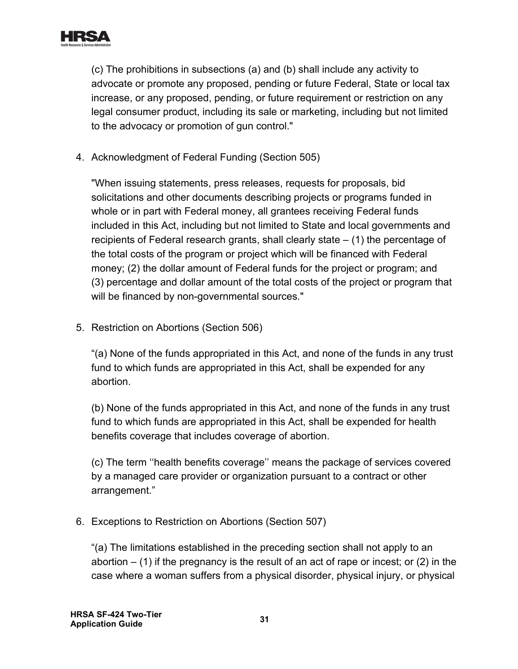

(c) The prohibitions in subsections (a) and (b) shall include any activity to advocate or promote any proposed, pending or future Federal, State or local tax increase, or any proposed, pending, or future requirement or restriction on any legal consumer product, including its sale or marketing, including but not limited to the advocacy or promotion of gun control."

4. Acknowledgment of Federal Funding (Section 505)

"When issuing statements, press releases, requests for proposals, bid solicitations and other documents describing projects or programs funded in whole or in part with Federal money, all grantees receiving Federal funds included in this Act, including but not limited to State and local governments and recipients of Federal research grants, shall clearly state – (1) the percentage of the total costs of the program or project which will be financed with Federal money; (2) the dollar amount of Federal funds for the project or program; and (3) percentage and dollar amount of the total costs of the project or program that will be financed by non-governmental sources."

5. Restriction on Abortions (Section 506)

"(a) None of the funds appropriated in this Act, and none of the funds in any trust fund to which funds are appropriated in this Act, shall be expended for any abortion.

(b) None of the funds appropriated in this Act, and none of the funds in any trust fund to which funds are appropriated in this Act, shall be expended for health benefits coverage that includes coverage of abortion.

(c) The term ''health benefits coverage'' means the package of services covered by a managed care provider or organization pursuant to a contract or other arrangement."

6. Exceptions to Restriction on Abortions (Section 507)

"(a) The limitations established in the preceding section shall not apply to an abortion  $-$  (1) if the pregnancy is the result of an act of rape or incest; or (2) in the case where a woman suffers from a physical disorder, physical injury, or physical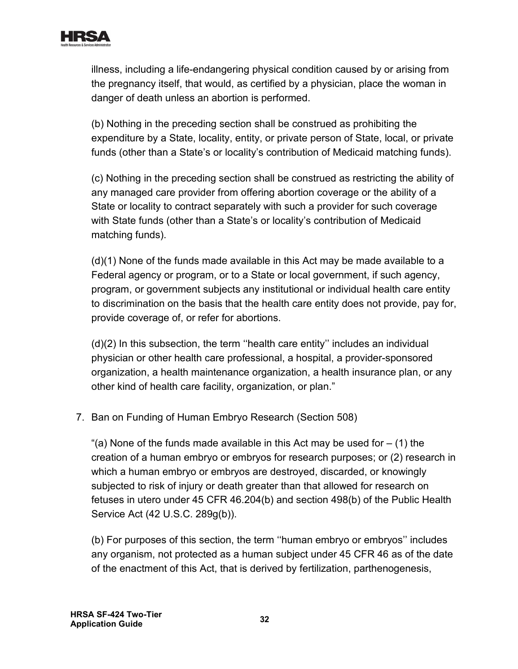

illness, including a life-endangering physical condition caused by or arising from the pregnancy itself, that would, as certified by a physician, place the woman in danger of death unless an abortion is performed.

(b) Nothing in the preceding section shall be construed as prohibiting the expenditure by a State, locality, entity, or private person of State, local, or private funds (other than a State's or locality's contribution of Medicaid matching funds).

(c) Nothing in the preceding section shall be construed as restricting the ability of any managed care provider from offering abortion coverage or the ability of a State or locality to contract separately with such a provider for such coverage with State funds (other than a State's or locality's contribution of Medicaid matching funds).

(d)(1) None of the funds made available in this Act may be made available to a Federal agency or program, or to a State or local government, if such agency, program, or government subjects any institutional or individual health care entity to discrimination on the basis that the health care entity does not provide, pay for, provide coverage of, or refer for abortions.

(d)(2) In this subsection, the term ''health care entity'' includes an individual physician or other health care professional, a hospital, a provider-sponsored organization, a health maintenance organization, a health insurance plan, or any other kind of health care facility, organization, or plan."

7. Ban on Funding of Human Embryo Research (Section 508)

"(a) None of the funds made available in this Act may be used for  $-$  (1) the creation of a human embryo or embryos for research purposes; or (2) research in which a human embryo or embryos are destroyed, discarded, or knowingly subjected to risk of injury or death greater than that allowed for research on fetuses in utero under 45 CFR 46.204(b) and section 498(b) of the Public Health Service Act (42 U.S.C. 289g(b)).

(b) For purposes of this section, the term ''human embryo or embryos'' includes any organism, not protected as a human subject under 45 CFR 46 as of the date of the enactment of this Act, that is derived by fertilization, parthenogenesis,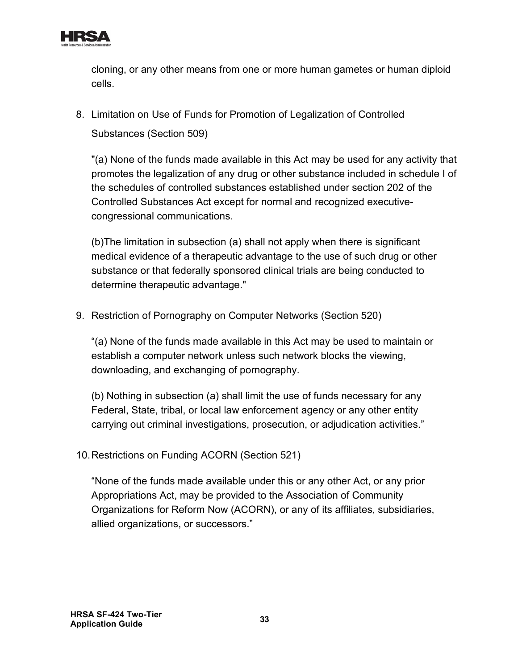

cloning, or any other means from one or more human gametes or human diploid cells.

8. Limitation on Use of Funds for Promotion of Legalization of Controlled Substances (Section 509)

"(a) None of the funds made available in this Act may be used for any activity that promotes the legalization of any drug or other substance included in schedule I of the schedules of controlled substances established under section 202 of the Controlled Substances Act except for normal and recognized executivecongressional communications.

(b)The limitation in subsection (a) shall not apply when there is significant medical evidence of a therapeutic advantage to the use of such drug or other substance or that federally sponsored clinical trials are being conducted to determine therapeutic advantage."

9. Restriction of Pornography on Computer Networks (Section 520)

"(a) None of the funds made available in this Act may be used to maintain or establish a computer network unless such network blocks the viewing, downloading, and exchanging of pornography.

(b) Nothing in subsection (a) shall limit the use of funds necessary for any Federal, State, tribal, or local law enforcement agency or any other entity carrying out criminal investigations, prosecution, or adjudication activities."

10.Restrictions on Funding ACORN (Section 521)

"None of the funds made available under this or any other Act, or any prior Appropriations Act, may be provided to the Association of Community Organizations for Reform Now (ACORN), or any of its affiliates, subsidiaries, allied organizations, or successors."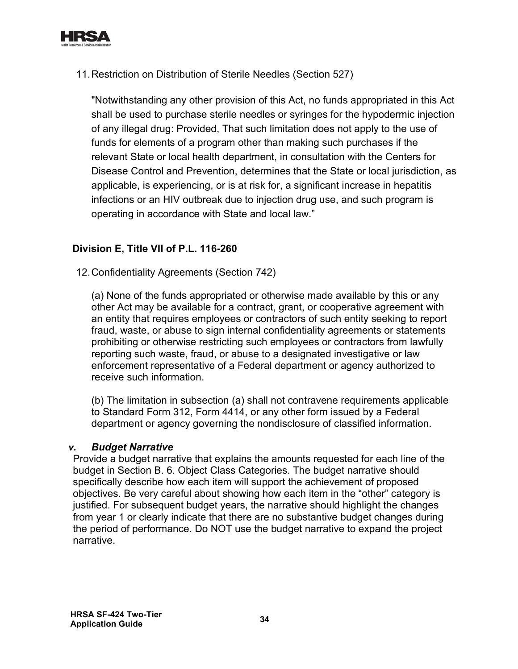

11.Restriction on Distribution of Sterile Needles (Section 527)

"Notwithstanding any other provision of this Act, no funds appropriated in this Act shall be used to purchase sterile needles or syringes for the hypodermic injection of any illegal drug: Provided, That such limitation does not apply to the use of funds for elements of a program other than making such purchases if the relevant State or local health department, in consultation with the Centers for Disease Control and Prevention, determines that the State or local jurisdiction, as applicable, is experiencing, or is at risk for, a significant increase in hepatitis infections or an HIV outbreak due to injection drug use, and such program is operating in accordance with State and local law."

#### **Division E, Title VII of P.L. 116-260**

12.Confidentiality Agreements (Section 742)

(a) None of the funds appropriated or otherwise made available by this or any other Act may be available for a contract, grant, or cooperative agreement with an entity that requires employees or contractors of such entity seeking to report fraud, waste, or abuse to sign internal confidentiality agreements or statements prohibiting or otherwise restricting such employees or contractors from lawfully reporting such waste, fraud, or abuse to a designated investigative or law enforcement representative of a Federal department or agency authorized to receive such information.

(b) The limitation in subsection (a) shall not contravene requirements applicable to Standard Form 312, Form 4414, or any other form issued by a Federal department or agency governing the nondisclosure of classified information.

#### *v. Budget Narrative*

Provide a budget narrative that explains the amounts requested for each line of the budget in Section B. 6. Object Class Categories. The budget narrative should specifically describe how each item will support the achievement of proposed objectives. Be very careful about showing how each item in the "other" category is justified. For subsequent budget years, the narrative should highlight the changes from year 1 or clearly indicate that there are no substantive budget changes during the period of performance. Do NOT use the budget narrative to expand the project narrative.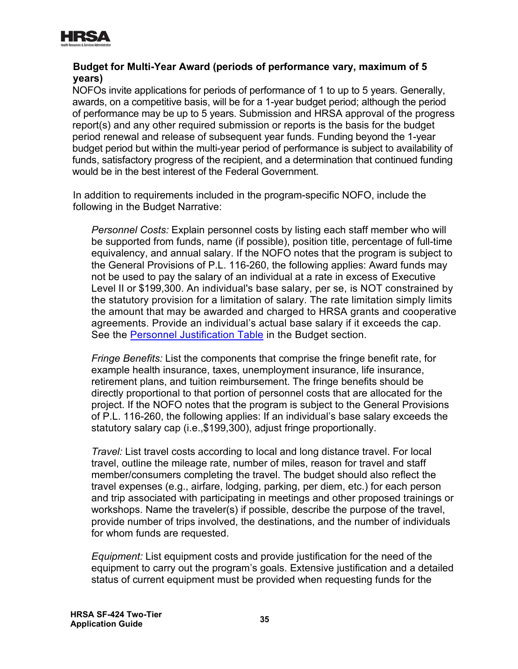

#### **Budget for Multi-Year Award (periods of performance vary, maximum of 5 years)**

NOFOs invite applications for periods of performance of 1 to up to 5 years. Generally, awards, on a competitive basis, will be for a 1-year budget period; although the period of performance may be up to 5 years. Submission and HRSA approval of the progress report(s) and any other required submission or reports is the basis for the budget period renewal and release of subsequent year funds. Funding beyond the 1-year budget period but within the multi-year period of performance is subject to availability of funds, satisfactory progress of the recipient, and a determination that continued funding would be in the best interest of the Federal Government.

In addition to requirements included in the program-specific NOFO, include the following in the Budget Narrative:

See the <u>Personnel Justification Table</u> in the Budget section. *Personnel Costs:* Explain personnel costs by listing each staff member who will be supported from funds, name (if possible), position title, percentage of full-time equivalency, and annual salary. If the NOFO notes that the program is subject to the General Provisions of P.L. 116-260, the following applies: Award funds may not be used to pay the salary of an individual at a rate in excess of Executive Level II or \$199,300. An individual's base salary, per se, is NOT constrained by the statutory provision for a limitation of salary. The rate limitation simply limits the amount that may be awarded and charged to HRSA grants and cooperative agreements. Provide an individual's actual base salary if it exceeds the cap.

*Fringe Benefits:* List the components that comprise the fringe benefit rate, for example health insurance, taxes, unemployment insurance, life insurance, retirement plans, and tuition reimbursement. The fringe benefits should be directly proportional to that portion of personnel costs that are allocated for the project. If the NOFO notes that the program is subject to the General Provisions of P.L. 116-260, the following applies: If an individual's base salary exceeds the statutory salary cap (i.e.,\$199,300), adjust fringe proportionally.

*Travel:* List travel costs according to local and long distance travel. For local travel, outline the mileage rate, number of miles, reason for travel and staff member/consumers completing the travel. The budget should also reflect the travel expenses (e.g., airfare, lodging, parking, per diem, etc.) for each person and trip associated with participating in meetings and other proposed trainings or workshops. Name the traveler(s) if possible, describe the purpose of the travel, provide number of trips involved, the destinations, and the number of individuals for whom funds are requested.

*Equipment:* List equipment costs and provide justification for the need of the equipment to carry out the program's goals. Extensive justification and a detailed status of current equipment must be provided when requesting funds for the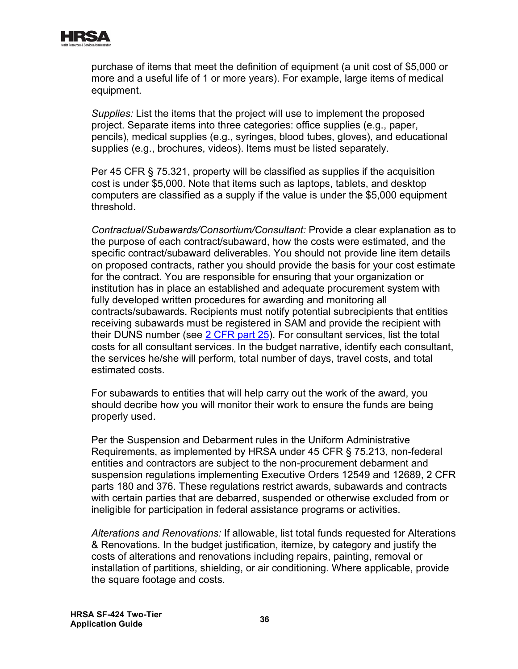

purchase of items that meet the definition of equipment (a unit cost of \$5,000 or more and a useful life of 1 or more years). For example, large items of medical equipment.

*Supplies:* List the items that the project will use to implement the proposed project. Separate items into three categories: office supplies (e.g., paper, pencils), medical supplies (e.g., syringes, blood tubes, gloves), and educational supplies (e.g., brochures, videos). Items must be listed separately.

Per 45 CFR § 75.321, property will be classified as supplies if the acquisition cost is under \$5,000. Note that items such as laptops, tablets, and desktop computers are classified as a supply if the value is under the \$5,000 equipment threshold.

*Contractual/Subawards/Consortium/Consultant:* Provide a clear explanation as to the purpose of each contract/subaward, how the costs were estimated, and the specific contract/subaward deliverables. You should not provide line item details on proposed contracts, rather you should provide the basis for your cost estimate for the contract. You are responsible for ensuring that your organization or institution has in place an established and adequate procurement system with fully developed written procedures for awarding and monitoring all contracts/subawards. Recipients must notify potential subrecipients that entities receiving subawards must be registered in SAM and provide the recipient with their DUNS number (see [2 CFR part 25\)](https://www.ecfr.gov/cgi-bin/text-idx?SID=3185b80603454d8e67461ea19aa8a59b&mc=true&node=pt2.1.25&rgn=div5). For consultant services, list the total costs for all consultant services. In the budget narrative, identify each consultant, the services he/she will perform, total number of days, travel costs, and total estimated costs.

For subawards to entities that will help carry out the work of the award, you should decribe how you will monitor their work to ensure the funds are being properly used.

Per the Suspension and Debarment rules in the Uniform Administrative Requirements, as implemented by HRSA under 45 CFR § 75.213, non-federal entities and contractors are subject to the non-procurement debarment and suspension regulations implementing Executive Orders 12549 and 12689, 2 CFR parts 180 and 376. These regulations restrict awards, subawards and contracts with certain parties that are debarred, suspended or otherwise excluded from or ineligible for participation in federal assistance programs or activities.

*Alterations and Renovations:* If allowable, list total funds requested for Alterations & Renovations. In the budget justification, itemize, by category and justify the costs of alterations and renovations including repairs, painting, removal or installation of partitions, shielding, or air conditioning. Where applicable, provide the square footage and costs.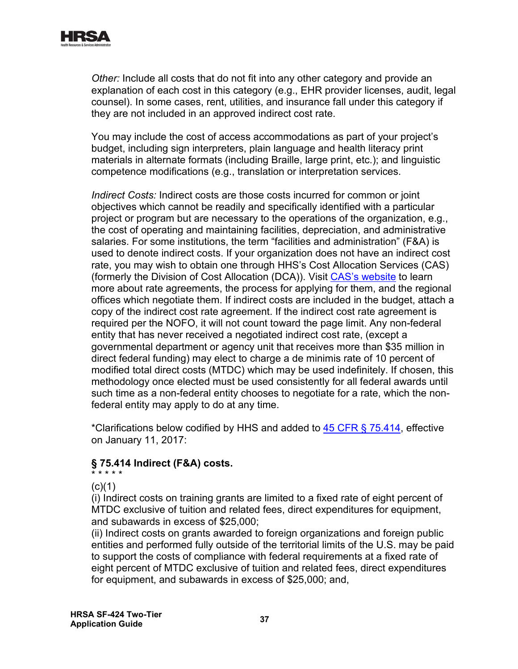

*Other:* Include all costs that do not fit into any other category and provide an explanation of each cost in this category (e.g., EHR provider licenses, audit, legal counsel). In some cases, rent, utilities, and insurance fall under this category if they are not included in an approved indirect cost rate.

You may include the cost of access accommodations as part of your project's budget, including sign interpreters, plain language and health literacy print materials in alternate formats (including Braille, large print, etc.); and linguistic competence modifications (e.g., translation or interpretation services.

*Indirect Costs:* Indirect costs are those costs incurred for common or joint objectives which cannot be readily and specifically identified with a particular project or program but are necessary to the operations of the organization, e.g., the cost of operating and maintaining facilities, depreciation, and administrative salaries. For some institutions, the term "facilities and administration" (F&A) is used to denote indirect costs. If your organization does not have an indirect cost rate, you may wish to obtain one through HHS's Cost Allocation Services (CAS) (formerly the Division of Cost Allocation (DCA)). Visit [CAS's website](https://rates.psc.gov/) to learn more about rate agreements, the process for applying for them, and the regional offices which negotiate them. If indirect costs are included in the budget, attach a copy of the indirect cost rate agreement. If the indirect cost rate agreement is required per the NOFO, it will not count toward the page limit. Any non-federal entity that has never received a negotiated indirect cost rate, (except a governmental department or agency unit that receives more than \$35 million in direct federal funding) may elect to charge a de minimis rate of 10 percent of modified total direct costs (MTDC) which may be used indefinitely. If chosen, this methodology once elected must be used consistently for all federal awards until such time as a non-federal entity chooses to negotiate for a rate, which the nonfederal entity may apply to do at any time.

\*Clarifications below codified by HHS and added to [45 CFR § 75.414,](https://www.ecfr.gov/cgi-bin/retrieveECFR?gp=1&SID=4d52364ec83fab994c665943dadf9cf7&ty=HTML&h=L&r=PART&n=pt45.1.75) effective on January 11, 2017:

# **§ 75.414 Indirect (F&A) costs.**

\* \* \* \* \*  $(c)(1)$ 

(i) Indirect costs on training grants are limited to a fixed rate of eight percent of MTDC exclusive of tuition and related fees, direct expenditures for equipment, and subawards in excess of \$25,000;

(ii) Indirect costs on grants awarded to foreign organizations and foreign public entities and performed fully outside of the territorial limits of the U.S. may be paid to support the costs of compliance with federal requirements at a fixed rate of eight percent of MTDC exclusive of tuition and related fees, direct expenditures for equipment, and subawards in excess of \$25,000; and,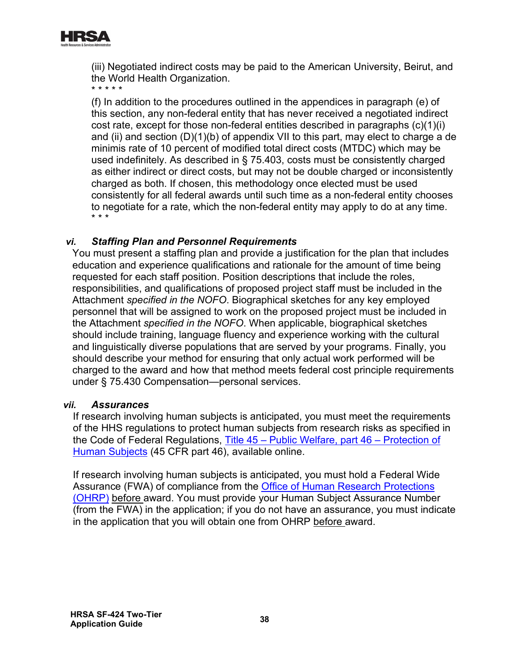

(iii) Negotiated indirect costs may be paid to the American University, Beirut, and the World Health Organization.

\* \* \* \* \*

(f) In addition to the procedures outlined in the appendices in paragraph (e) of this section, any non-federal entity that has never received a negotiated indirect cost rate, except for those non-federal entities described in paragraphs (c)(1)(i) and (ii) and section (D)(1)(b) of appendix VII to this part, may elect to charge a de minimis rate of 10 percent of modified total direct costs (MTDC) which may be used indefinitely. As described in § 75.403, costs must be consistently charged as either indirect or direct costs, but may not be double charged or inconsistently charged as both. If chosen, this methodology once elected must be used consistently for all federal awards until such time as a non-federal entity chooses to negotiate for a rate, which the non-federal entity may apply to do at any time. \* \* \*

#### *vi. Staffing Plan and Personnel Requirements*

You must present a staffing plan and provide a justification for the plan that includes education and experience qualifications and rationale for the amount of time being requested for each staff position. Position descriptions that include the roles, responsibilities, and qualifications of proposed project staff must be included in the Attachment *specified in the NOFO*. Biographical sketches for any key employed personnel that will be assigned to work on the proposed project must be included in the Attachment *specified in the NOFO*. When applicable, biographical sketches should include training, language fluency and experience working with the cultural and linguistically diverse populations that are served by your programs. Finally, you should describe your method for ensuring that only actual work performed will be charged to the award and how that method meets federal cost principle requirements under § 75.430 Compensation—personal services.

#### *vii. Assurances*

If research involving human subjects is anticipated, you must meet the requirements of the HHS regulations to protect human subjects from research risks as specified in the Code of Federal Regulations, [Title 45 – Public Welfare, part 46 – Protection of](http://www.hhs.gov/ohrp/humansubjects/guidance/45cfr46.html)  [Human Subjects](http://www.hhs.gov/ohrp/humansubjects/guidance/45cfr46.html) (45 CFR part 46), available online.

If research involving human subjects is anticipated, you must hold a Federal Wide Assurance (FWA) of compliance from the [Office of Human Research Protections](https://www.hhs.gov/ohrp/regulations-and-policy/index.html)  [\(OHRP\)](https://www.hhs.gov/ohrp/regulations-and-policy/index.html) before award. You must provide your Human Subject Assurance Number (from the FWA) in the application; if you do not have an assurance, you must indicate in the application that you will obtain one from OHRP before award.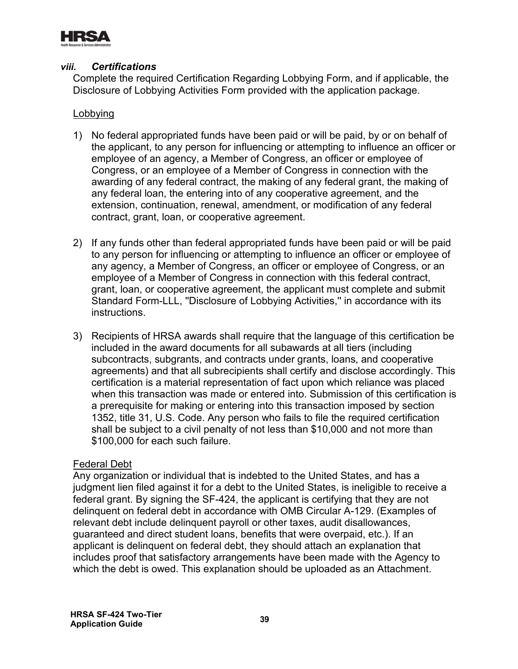

#### *viii. Certifications*

Complete the required Certification Regarding Lobbying Form, and if applicable, the Disclosure of Lobbying Activities Form provided with the application package.

#### Lobbying

- 1) No federal appropriated funds have been paid or will be paid, by or on behalf of the applicant, to any person for influencing or attempting to influence an officer or employee of an agency, a Member of Congress, an officer or employee of Congress, or an employee of a Member of Congress in connection with the awarding of any federal contract, the making of any federal grant, the making of any federal loan, the entering into of any cooperative agreement, and the extension, continuation, renewal, amendment, or modification of any federal contract, grant, loan, or cooperative agreement.
- 2) If any funds other than federal appropriated funds have been paid or will be paid to any person for influencing or attempting to influence an officer or employee of any agency, a Member of Congress, an officer or employee of Congress, or an employee of a Member of Congress in connection with this federal contract, grant, loan, or cooperative agreement, the applicant must complete and submit Standard Form-LLL, ''Disclosure of Lobbying Activities,'' in accordance with its instructions.
- 3) Recipients of HRSA awards shall require that the language of this certification be included in the award documents for all subawards at all tiers (including subcontracts, subgrants, and contracts under grants, loans, and cooperative agreements) and that all subrecipients shall certify and disclose accordingly. This certification is a material representation of fact upon which reliance was placed when this transaction was made or entered into. Submission of this certification is a prerequisite for making or entering into this transaction imposed by section 1352, title 31, U.S. Code. Any person who fails to file the required certification shall be subject to a civil penalty of not less than \$10,000 and not more than \$100,000 for each such failure.

#### Federal Debt

Any organization or individual that is indebted to the United States, and has a judgment lien filed against it for a debt to the United States, is ineligible to receive a federal grant. By signing the SF-424, the applicant is certifying that they are not delinquent on federal debt in accordance with OMB Circular A-129. (Examples of relevant debt include delinquent payroll or other taxes, audit disallowances, guaranteed and direct student loans, benefits that were overpaid, etc.). If an applicant is delinquent on federal debt, they should attach an explanation that includes proof that satisfactory arrangements have been made with the Agency to which the debt is owed. This explanation should be uploaded as an Attachment.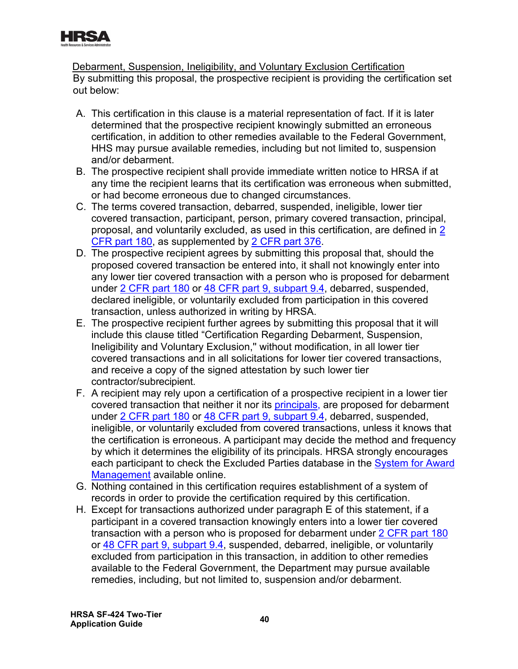

Debarment, Suspension, Ineligibility, and Voluntary Exclusion Certification By submitting this proposal, the prospective recipient is providing the certification set out below:

- A. This certification in this clause is a material representation of fact. If it is later determined that the prospective recipient knowingly submitted an erroneous certification, in addition to other remedies available to the Federal Government, HHS may pursue available remedies, including but not limited to, suspension and/or debarment.
- B. The prospective recipient shall provide immediate written notice to HRSA if at any time the recipient learns that its certification was erroneous when submitted, or had become erroneous due to changed circumstances.
- <u>CFR part 180</u>, as supplemented by <u>2 CFR part 376</u>. C. The terms covered transaction, debarred, suspended, ineligible, lower tier covered transaction, participant, person, primary covered transaction, principal, proposal, and voluntarily excluded, as used in this certification, are defined in [2](http://www.ecfr.gov/cgi-bin/text-idx?tpl=/ecfrbrowse/Title02/2cfr180_main_02.tpl)
- D. The prospective recipient agrees by submitting this proposal that, should the proposed covered transaction be entered into, it shall not knowingly enter into any lower tier covered transaction with a person who is proposed for debarment under [2 CFR part 180](http://www.ecfr.gov/cgi-bin/text-idx?tpl=/ecfrbrowse/Title02/2cfr180_main_02.tpl) or [48 CFR part 9, subpart 9.4,](http://www.ecfr.gov/cgi-bin/text-idx?SID=2068e8951dab76f7b96d51fda6d3325c&mc=true&node=sp48.1.9.9_14&rgn=div6) debarred, suspended, declared ineligible, or voluntarily excluded from participation in this covered transaction, unless authorized in writing by HRSA.
- E. The prospective recipient further agrees by submitting this proposal that it will include this clause titled "Certification Regarding Debarment, Suspension, Ineligibility and Voluntary Exclusion,'' without modification, in all lower tier covered transactions and in all solicitations for lower tier covered transactions, and receive a copy of the signed attestation by such lower tier contractor/subrecipient.
- <u>[Management](https://www.sam.gov/)</u> available online. F. A recipient may rely upon a certification of a prospective recipient in a lower tier covered transaction that neither it nor its [principals,](#page-48-0) are proposed for debarment under [2 CFR part 180](http://www.ecfr.gov/cgi-bin/text-idx?tpl=/ecfrbrowse/Title02/2cfr180_main_02.tpl) or [48 CFR part 9, subpart 9.4,](http://www.ecfr.gov/cgi-bin/text-idx?SID=2068e8951dab76f7b96d51fda6d3325c&mc=true&node=sp48.1.9.9_14&rgn=div6) debarred, suspended, ineligible, or voluntarily excluded from covered transactions, unless it knows that the certification is erroneous. A participant may decide the method and frequency by which it determines the eligibility of its principals. HRSA strongly encourages each participant to check the Excluded Parties database in the [System for Award](https://www.sam.gov/)
- G. Nothing contained in this certification requires establishment of a system of records in order to provide the certification required by this certification.
- H. Except for transactions authorized under paragraph E of this statement, if a participant in a covered transaction knowingly enters into a lower tier covered transaction with a person who is proposed for debarment under [2 CFR](http://www.ecfr.gov/cgi-bin/text-idx?tpl=/ecfrbrowse/Title02/2cfr180_main_02.tpl) part 180 or [48 CFR part 9, subpart 9.4,](http://www.ecfr.gov/cgi-bin/text-idx?SID=2068e8951dab76f7b96d51fda6d3325c&mc=true&node=sp48.1.9.9_14&rgn=div6) suspended, debarred, ineligible, or voluntarily excluded from participation in this transaction, in addition to other remedies available to the Federal Government, the Department may pursue available remedies, including, but not limited to, suspension and/or debarment.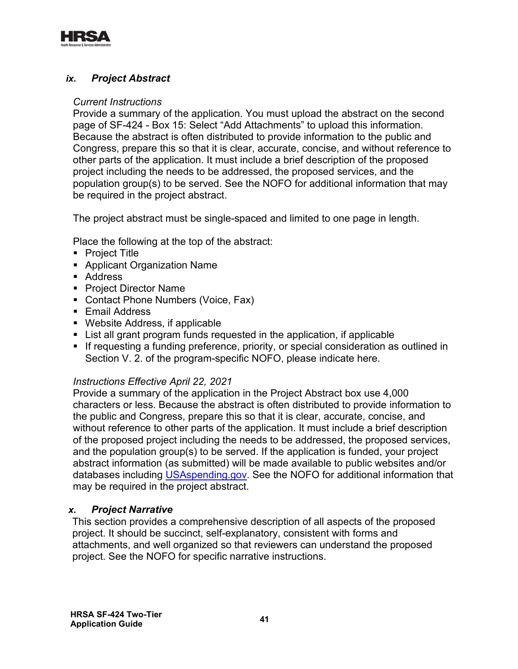<span id="page-43-1"></span>

## <span id="page-43-0"></span>*ix. Project Abstract*

#### *Current Instructions*

Provide a summary of the application. You must upload the abstract on the second page of SF-424 - Box 15: Select "Add Attachments" to upload this information. Because the abstract is often distributed to provide information to the public and Congress, prepare this so that it is clear, accurate, concise, and without reference to other parts of the application. It must include a brief description of the proposed project including the needs to be addressed, the proposed services, and the population group(s) to be served. See the NOFO for additional information that may be required in the project abstract.

The project abstract must be single-spaced and limited to one page in length.

Place the following at the top of the abstract:

- Project Title
- Applicant Organization Name
- Address
- Project Director Name
- Contact Phone Numbers (Voice, Fax)
- **Email Address**
- Website Address, if applicable
- List all grant program funds requested in the application, if applicable
- **If requesting a funding preference, priority, or special consideration as outlined in** Section V. 2. of the program-specific NOFO, please indicate here.

#### *Instructions Effective April 22, 2021*

Provide a summary of the application in the Project Abstract box use 4,000 characters or less. Because the abstract is often distributed to provide information to the public and Congress, prepare this so that it is clear, accurate, concise, and without reference to other parts of the application. It must include a brief description of the proposed project including the needs to be addressed, the proposed services, and the population group(s) to be served. If the application is funded, your project abstract information (as submitted) will be made available to public websites and/or databases including [USAspending.gov.](http://www.usaspending.gov/) See the NOFO for additional information that may be required in the project abstract.

#### *x. Project Narrative*

This section provides a comprehensive description of all aspects of the proposed project. It should be succinct, self-explanatory, consistent with forms and attachments, and well organized so that reviewers can understand the proposed project. See the NOFO for specific narrative instructions.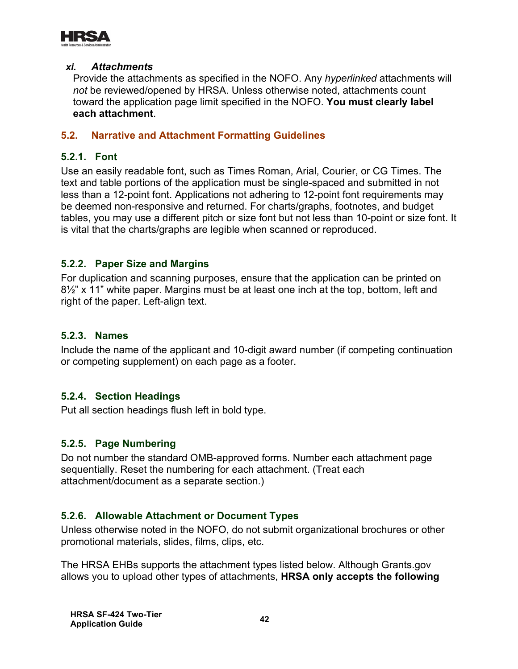

#### *xi. Attachments*

Provide the attachments as specified in the NOFO. Any *hyperlinked* attachments will *not* be reviewed/opened by HRSA. Unless otherwise noted, attachments count toward the application page limit specified in the NOFO. **You must clearly label each attachment**.

#### <span id="page-44-0"></span>**5.2. Narrative and Attachment Formatting Guidelines**

#### **5.2.1. Font**

Use an easily readable font, such as Times Roman, Arial, Courier, or CG Times. The text and table portions of the application must be single-spaced and submitted in not less than a 12-point font. Applications not adhering to 12-point font requirements may be deemed non-responsive and returned. For charts/graphs, footnotes, and budget tables, you may use a different pitch or size font but not less than 10-point or size font. It is vital that the charts/graphs are legible when scanned or reproduced.

#### **5.2.2. Paper Size and Margins**

For duplication and scanning purposes, ensure that the application can be printed on 8½" x 11" white paper. Margins must be at least one inch at the top, bottom, left and right of the paper. Left-align text.

#### **5.2.3. Names**

Include the name of the applicant and 10-digit award number (if competing continuation or competing supplement) on each page as a footer.

#### **5.2.4. Section Headings**

Put all section headings flush left in bold type.

#### **5.2.5. Page Numbering**

Do not number the standard OMB-approved forms. Number each attachment page sequentially. Reset the numbering for each attachment. (Treat each attachment/document as a separate section.)

#### **5.2.6. Allowable Attachment or Document Types**

Unless otherwise noted in the NOFO, do not submit organizational brochures or other promotional materials, slides, films, clips, etc.

The HRSA EHBs supports the attachment types listed below. Although Grants.gov allows you to upload other types of attachments, **HRSA only accepts the following**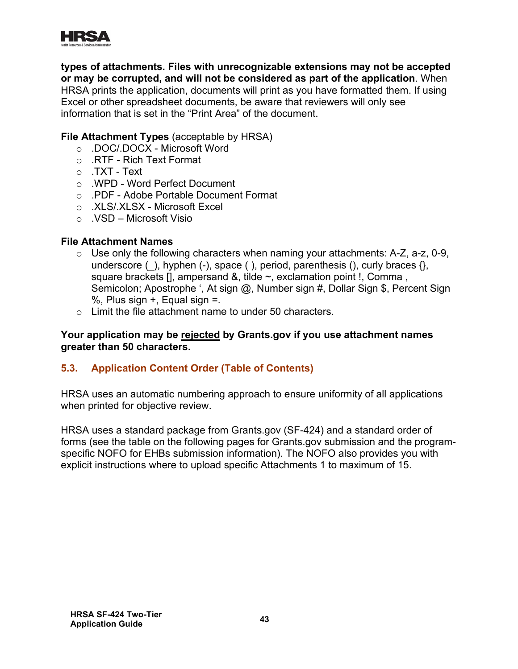

**types of attachments. Files with unrecognizable extensions may not be accepted or may be corrupted, and will not be considered as part of the application**. When HRSA prints the application, documents will print as you have formatted them. If using Excel or other spreadsheet documents, be aware that reviewers will only see information that is set in the "Print Area" of the document.

#### **File Attachment Types** (acceptable by HRSA)

- o .DOC/.DOCX Microsoft Word
- o .RTF Rich Text Format
- o .TXT Text
- o .WPD Word Perfect Document
- o .PDF Adobe Portable Document Format
- o .XLS/.XLSX Microsoft Excel
- o .VSD Microsoft Visio

#### **File Attachment Names**

- $\circ$  Use only the following characters when naming your attachments: A-Z, a-z, 0-9, underscore ( $\,$ ), hyphen (-), space ( $\,$ ), period, parenthesis (), curly braces  $\{ \}$ , square brackets [], ampersand &, tilde ~, exclamation point !, Comma, Semicolon; Apostrophe ', At sign @, Number sign #, Dollar Sign \$, Percent Sign %, Plus sign  $+$ , Equal sign  $=$ .
- o Limit the file attachment name to under 50 characters.

#### **Your application may be rejected by Grants.gov if you use attachment names greater than 50 characters.**

# <span id="page-45-0"></span>**5.3. Application Content Order (Table of Contents)**

<span id="page-45-1"></span>HRSA uses an automatic numbering approach to ensure uniformity of all applications when printed for objective review.

HRSA uses a standard package from Grants.gov (SF-424) and a standard order of forms (see the table on the following pages for Grants.gov submission and the programspecific NOFO for EHBs submission information). The NOFO also provides you with explicit instructions where to upload specific Attachments 1 to maximum of 15.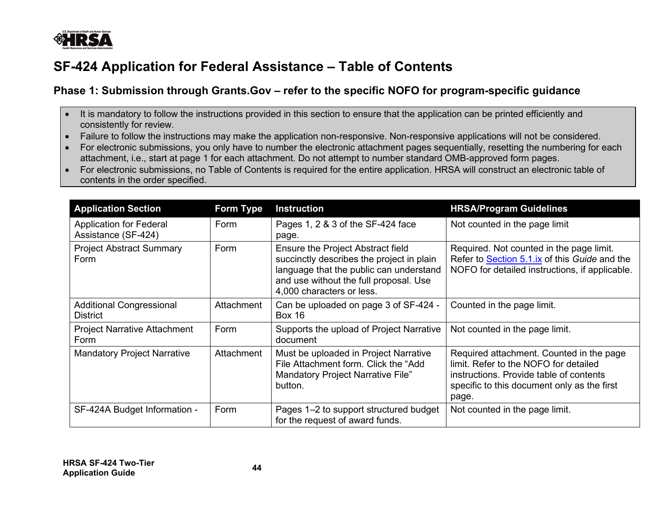

# **SF-424 Application for Federal Assistance – Table of Contents**

# **Phase 1: Submission through Grants.Gov – refer to the specific NOFO for program-specific guidance**

- It is mandatory to follow the instructions provided in this section to ensure that the application can be printed efficiently and consistently for review.
- Failure to follow the instructions may make the application non-responsive. Non-responsive applications will not be considered.
- For electronic submissions, you only have to number the electronic attachment pages sequentially, resetting the numbering for each attachment, i.e., start at page 1 for each attachment. Do not attempt to number standard OMB-approved form pages.
- For electronic submissions, no Table of Contents is required for the entire application. HRSA will construct an electronic table of contents in the order specified.

| <b>Application Section</b>                            | <b>Form Type</b> | <b>Instruction</b>                                                                                                                                                                                      | <b>HRSA/Program Guidelines</b>                                                                                                                                                       |
|-------------------------------------------------------|------------------|---------------------------------------------------------------------------------------------------------------------------------------------------------------------------------------------------------|--------------------------------------------------------------------------------------------------------------------------------------------------------------------------------------|
| <b>Application for Federal</b><br>Assistance (SF-424) | Form             | Pages 1, 2 & 3 of the SF-424 face<br>page.                                                                                                                                                              | Not counted in the page limit                                                                                                                                                        |
| <b>Project Abstract Summary</b><br>Form               | Form             | <b>Ensure the Project Abstract field</b><br>succinctly describes the project in plain<br>language that the public can understand<br>and use without the full proposal. Use<br>4,000 characters or less. | Required. Not counted in the page limit.<br>Refer to Section 5.1.ix of this Guide and the<br>NOFO for detailed instructions, if applicable.                                          |
| <b>Additional Congressional</b><br><b>District</b>    | Attachment       | Can be uploaded on page 3 of SF-424 -<br><b>Box 16</b>                                                                                                                                                  | Counted in the page limit.                                                                                                                                                           |
| <b>Project Narrative Attachment</b><br>Form           | Form             | Supports the upload of Project Narrative<br>document                                                                                                                                                    | Not counted in the page limit.                                                                                                                                                       |
| <b>Mandatory Project Narrative</b>                    | Attachment       | Must be uploaded in Project Narrative<br>File Attachment form. Click the "Add<br>Mandatory Project Narrative File"<br>button.                                                                           | Required attachment. Counted in the page<br>limit. Refer to the NOFO for detailed<br>instructions. Provide table of contents<br>specific to this document only as the first<br>page. |
| SF-424A Budget Information -                          | Form             | Pages 1-2 to support structured budget<br>for the request of award funds.                                                                                                                               | Not counted in the page limit.                                                                                                                                                       |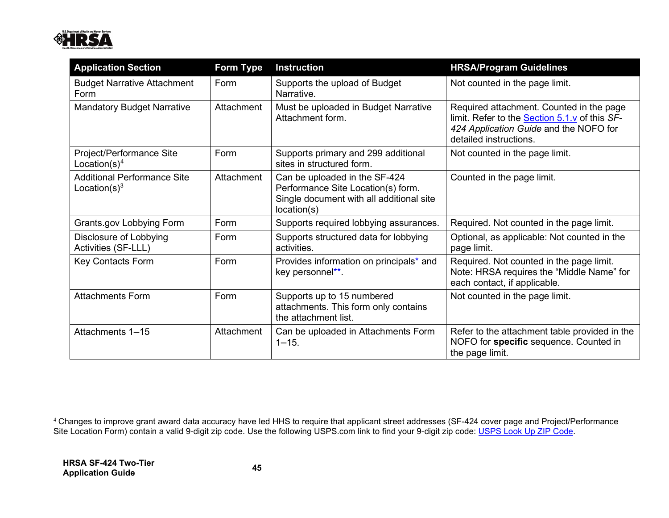<span id="page-47-0"></span>

| <b>Application Section</b>                             | <b>Form Type</b> | <b>Instruction</b>                                                                                                             | <b>HRSA/Program Guidelines</b>                                                                                                                                       |
|--------------------------------------------------------|------------------|--------------------------------------------------------------------------------------------------------------------------------|----------------------------------------------------------------------------------------------------------------------------------------------------------------------|
| <b>Budget Narrative Attachment</b><br>Form             | Form             | Supports the upload of Budget<br>Narrative.                                                                                    | Not counted in the page limit.                                                                                                                                       |
| <b>Mandatory Budget Narrative</b>                      | Attachment       | Must be uploaded in Budget Narrative<br>Attachment form.                                                                       | Required attachment. Counted in the page<br>limit. Refer to the <b>Section 5.1.v</b> of this SF-<br>424 Application Guide and the NOFO for<br>detailed instructions. |
| Project/Performance Site<br>Location(s) <sup>4</sup>   | Form             | Supports primary and 299 additional<br>sites in structured form.                                                               | Not counted in the page limit.                                                                                                                                       |
| <b>Additional Performance Site</b><br>Location $(s)^3$ | Attachment       | Can be uploaded in the SF-424<br>Performance Site Location(s) form.<br>Single document with all additional site<br>location(s) | Counted in the page limit.                                                                                                                                           |
| Grants.gov Lobbying Form                               | Form             | Supports required lobbying assurances.                                                                                         | Required. Not counted in the page limit.                                                                                                                             |
| Disclosure of Lobbying<br>Activities (SF-LLL)          | Form             | Supports structured data for lobbying<br>activities.                                                                           | Optional, as applicable: Not counted in the<br>page limit.                                                                                                           |
| <b>Key Contacts Form</b>                               | Form             | Provides information on principals* and<br>key personnel**.                                                                    | Required. Not counted in the page limit.<br>Note: HRSA requires the "Middle Name" for<br>each contact, if applicable.                                                |
| <b>Attachments Form</b>                                | Form             | Supports up to 15 numbered<br>attachments. This form only contains<br>the attachment list.                                     | Not counted in the page limit.                                                                                                                                       |
| Attachments 1-15                                       | Attachment       | Can be uploaded in Attachments Form<br>$1 - 15.$                                                                               | Refer to the attachment table provided in the<br>NOFO for specific sequence. Counted in<br>the page limit.                                                           |

Site Location Form) contain a valid 9-digit zip code. Use the following USPS.com link to find your 9-digit zip code: <u>[USPS Look Up ZIP Code](https://tools.usps.com/go/ZipLookupAction!input.action?mode=1&refresh=true)</u>. <sup>4</sup> Changes to improve grant award data accuracy have led HHS to require that applicant street addresses (SF-424 cover page and Project/Performance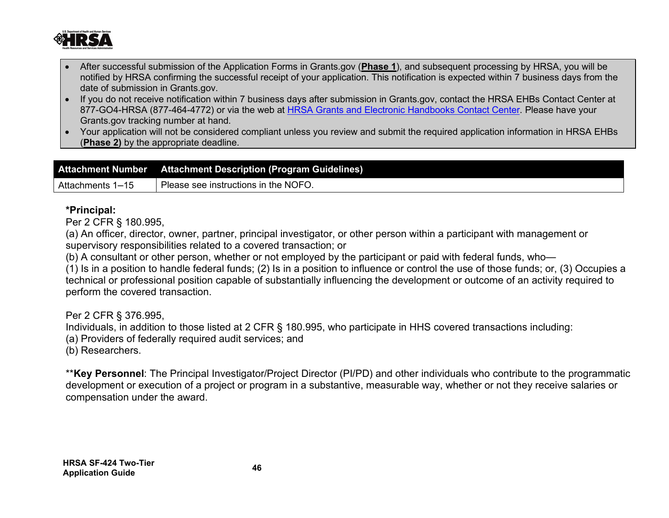

- After successful submission of the Application Forms in Grants.gov (**Phase 1**), and subsequent processing by HRSA, you will be notified by HRSA confirming the successful receipt of your application. This notification is expected within 7 business days from the date of submission in Grants.gov.
- If you do not receive notification within 7 business days after submission in Grants.gov, contact the HRSA EHBs Contact Center at 877-GO4-HRSA (877-464-4772) or via the web at [HRSA Grants and Electronic Handbooks Contact Center.](http://www.hrsa.gov/about/contact/ehbhelp.aspx) Please have your Grants.gov tracking number at hand.
- Your application will not be considered compliant unless you review and submit the required application information in HRSA EHBs (**Phase 2)** by the appropriate deadline.

| Please see instructions in the NOFO. |  |
|--------------------------------------|--|
| Attachments 1-15                     |  |

#### **\*Principal:**

Per 2 CFR § 180.995,

(a) An officer, director, owner, partner, principal investigator, or other person within a participant with management or supervisory responsibilities related to a covered transaction; or

(b) A consultant or other person, whether or not employed by the participant or paid with federal funds, who—

(1) Is in a position to handle federal funds; (2) Is in a position to influence or control the use of those funds; or, (3) Occupies a technical or professional position capable of substantially influencing the development or outcome of an activity required to perform the covered transaction.

Per 2 CFR § 376.995,

Individuals, in addition to those listed at 2 CFR § 180.995, who participate in HHS covered transactions including:

(a) Providers of federally required audit services; and

(b) Researchers.

<span id="page-48-0"></span>\*\***Key Personnel**: The Principal Investigator/Project Director (PI/PD) and other individuals who contribute to the programmatic development or execution of a project or program in a substantive, measurable way, whether or not they receive salaries or compensation under the award.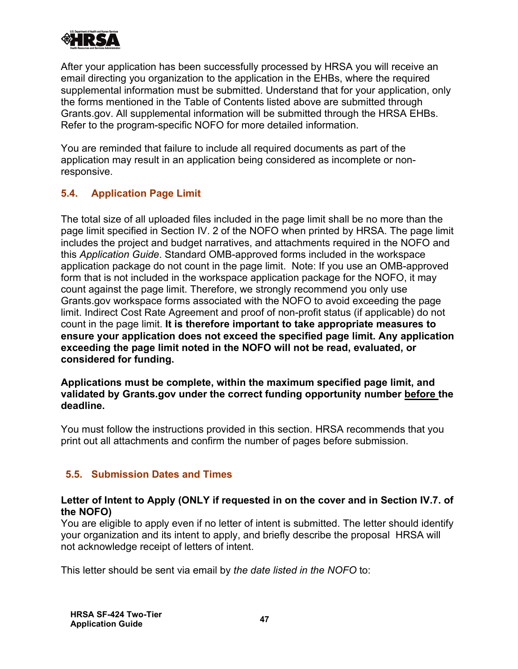

After your application has been successfully processed by HRSA you will receive an email directing you organization to the application in the EHBs, where the required supplemental information must be submitted. Understand that for your application, only the forms mentioned in the Table of Contents listed above are submitted through Grants.gov. All supplemental information will be submitted through the HRSA EHBs. Refer to the program-specific NOFO for more detailed information.

You are reminded that failure to include all required documents as part of the application may result in an application being considered as incomplete or nonresponsive.

# <span id="page-49-0"></span>**5.4. Application Page Limit**

The total size of all uploaded files included in the page limit shall be no more than the page limit specified in Section IV. 2 of the NOFO when printed by HRSA. The page limit includes the project and budget narratives, and attachments required in the NOFO and this *Application Guide*. Standard OMB-approved forms included in the workspace application package do not count in the page limit. Note: If you use an OMB-approved form that is not included in the workspace application package for the NOFO, it may count against the page limit. Therefore, we strongly recommend you only use Grants.gov workspace forms associated with the NOFO to avoid exceeding the page limit. Indirect Cost Rate Agreement and proof of non-profit status (if applicable) do not count in the page limit. **It is therefore important to take appropriate measures to ensure your application does not exceed the specified page limit. Any application exceeding the page limit noted in the NOFO will not be read, evaluated, or considered for funding.**

**Applications must be complete, within the maximum specified page limit, and validated by Grants.gov under the correct funding opportunity number before the deadline.** 

You must follow the instructions provided in this section. HRSA recommends that you print out all attachments and confirm the number of pages before submission.

# <span id="page-49-1"></span> **5.5. Submission Dates and Times**

#### **Letter of Intent to Apply (ONLY if requested in on the cover and in Section IV.7. of the NOFO)**

You are eligible to apply even if no letter of intent is submitted. The letter should identify your organization and its intent to apply, and briefly describe the proposal HRSA will not acknowledge receipt of letters of intent.

This letter should be sent via email by *the date listed in the NOFO* to: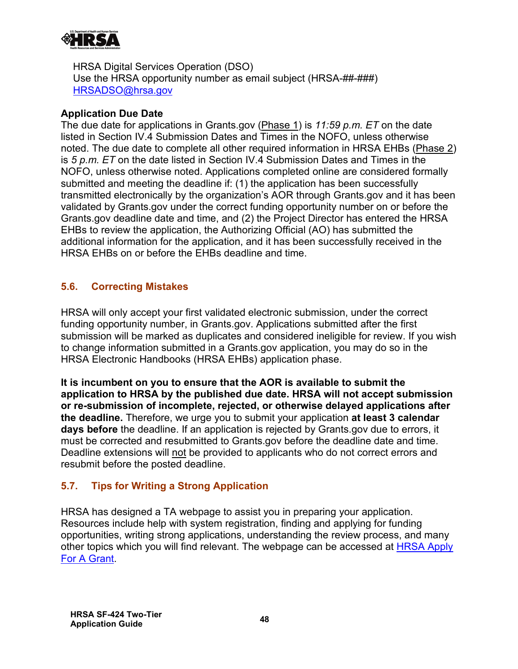

HRSA Digital Services Operation (DSO) Use the HRSA opportunity number as email subject (HRSA-##-###) [HRSADSO@hrsa.gov](mailto:HRSADSO@hrsa.gov)

#### **Application Due Date**

The due date for applications in Grants.gov (Phase 1) is *11:59 p.m. ET* on the date listed in Section IV.4 Submission Dates and Times in the NOFO, unless otherwise noted. The due date to complete all other required information in HRSA EHBs (Phase 2) is *5 p.m. ET* on the date listed in Section IV.4 Submission Dates and Times in the NOFO, unless otherwise noted. Applications completed online are considered formally submitted and meeting the deadline if: (1) the application has been successfully transmitted electronically by the organization's AOR through Grants.gov and it has been validated by Grants.gov under the correct funding opportunity number on or before the Grants.gov deadline date and time, and (2) the Project Director has entered the HRSA EHBs to review the application, the Authorizing Official (AO) has submitted the additional information for the application, and it has been successfully received in the HRSA EHBs on or before the EHBs deadline and time.

# <span id="page-50-0"></span>**5.6. Correcting Mistakes**

HRSA will only accept your first validated electronic submission, under the correct funding opportunity number, in Grants.gov. Applications submitted after the first submission will be marked as duplicates and considered ineligible for review. If you wish to change information submitted in a Grants.gov application, you may do so in the HRSA Electronic Handbooks (HRSA EHBs) application phase.

**It is incumbent on you to ensure that the AOR is available to submit the application to HRSA by the published due date. HRSA will not accept submission or re-submission of incomplete, rejected, or otherwise delayed applications after the deadline.** Therefore, we urge you to submit your application **at least 3 calendar days before** the deadline. If an application is rejected by Grants.gov due to errors, it must be corrected and resubmitted to Grants.gov before the deadline date and time. Deadline extensions will not be provided to applicants who do not correct errors and resubmit before the posted deadline.

# <span id="page-50-1"></span>**5.7. Tips for Writing a Strong Application**

<u>[For A Grant](http://www.hrsa.gov/grants/apply/index.html)</u> HRSA has designed a TA webpage to assist you in preparing your application. Resources include help with system registration, finding and applying for funding opportunities, writing strong applications, understanding the review process, and many other topics which you will find relevant. The webpage can be accessed at [HRSA Apply](http://www.hrsa.gov/grants/apply/index.html)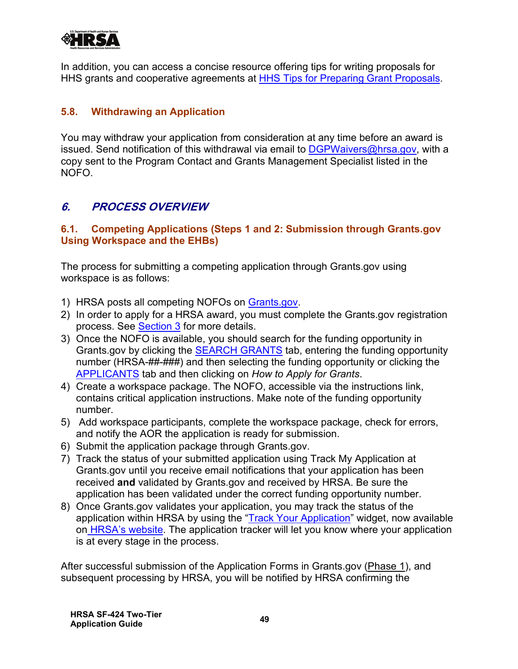

In addition, you can access a concise resource offering tips for writing proposals for HHS grants and cooperative agreements at [HHS Tips for Preparing Grant Proposals.](http://www.hhs.gov/grants/grants/get-ready-for-grants-management/tips-for-preparing-grant-proposals)

#### <span id="page-51-0"></span>**5.8. Withdrawing an Application**

You may withdraw your application from consideration at any time before an award is issued. Send notification of this withdrawal via email to  $\overline{DGPW}$ aivers@hrsa.gov, with a copy sent to the Program Contact and Grants Management Specialist listed in the NOFO.

# <span id="page-51-1"></span>**6. PROCESS OVERVIEW**

#### <span id="page-51-2"></span>**6.1. Competing Applications (Steps 1 and 2: Submission through Grants.gov Using Workspace and the EHBs)**

The process for submitting a competing application through Grants.gov using workspace is as follows:

- 1) HRSA posts all competing NOFOs on <u>Grants.gov</u>.
- process. See <u>Section 3</u> for more details. 2) In order to apply for a HRSA award, you must complete the Grants.gov registration
- 3) Once the NOFO is available, you should search for the funding opportunity in Grants.gov by clicking the [SEARCH GRANTS](http://www.grants.gov/web/grants/search-grants.html) tab, entering the funding opportunity number (HRSA-##-###) and then selecting the funding opportunity or clicking the [APPLICANTS](http://www.grants.gov/web/grants/applicants/apply-for-grants.html) tab and then clicking on *How to Apply for Grants*.
- 4) Create a workspace package. The NOFO, accessible via the instructions link, contains critical application instructions. Make note of the funding opportunity number.
- 5) Add workspace participants, complete the workspace package, check for errors, and notify the AOR the application is ready for submission.
- 6) Submit the application package through Grants.gov.
- 7) Track the status of your submitted application using Track My Application at Grants.gov until you receive email notifications that your application has been received **and** validated by Grants.gov and received by HRSA. Be sure the application has been validated under the correct funding opportunity number.
- 8) Once Grants.gov validates your application, you may track the status of the application within HRSA by using the ["Track Your Application"](https://www.hrsa.gov/grants/apply-for-a-grant/understand-the-grants-process) widget, now available on [HRSA's website.](https://www.hrsa.gov/grants/apply/index.html) The application tracker will let you know where your application is at every stage in the process.

After successful submission of the Application Forms in Grants.gov (Phase 1), and subsequent processing by HRSA, you will be notified by HRSA confirming the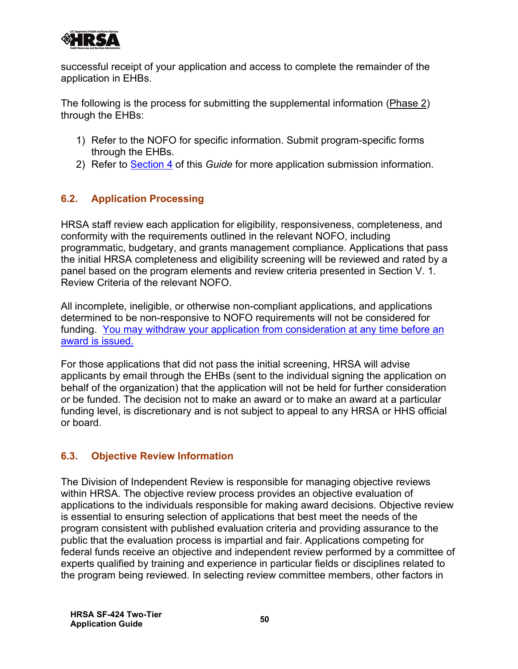

successful receipt of your application and access to complete the remainder of the application in EHBs.

The following is the process for submitting the supplemental information (Phase 2) through the EHBs:

- 1) Refer to the NOFO for specific information. Submit program-specific forms through the EHBs.
- 2) Refer to [Section 4](#page-19-0) of this *Guide* for more application submission information.

# <span id="page-52-0"></span>**6.2. Application Processing**

HRSA staff review each application for eligibility, responsiveness, completeness, and conformity with the requirements outlined in the relevant NOFO, including programmatic, budgetary, and grants management compliance. Applications that pass the initial HRSA completeness and eligibility screening will be reviewed and rated by a panel based on the program elements and review criteria presented in Section V. 1. Review Criteria of the relevant NOFO.

All incomplete, ineligible, or otherwise non-compliant applications, and applications determined to be non-responsive to NOFO requirements will not be considered for funding. [You may withdraw your application from consideration at any time before an](#page-51-0)  [award is issued.](#page-51-0)

For those applications that did not pass the initial screening, HRSA will advise applicants by email through the EHBs (sent to the individual signing the application on behalf of the organization) that the application will not be held for further consideration or be funded. The decision not to make an award or to make an award at a particular funding level, is discretionary and is not subject to appeal to any HRSA or HHS official or board.

# <span id="page-52-1"></span>**6.3. Objective Review Information**

The Division of Independent Review is responsible for managing objective reviews within HRSA. The objective review process provides an objective evaluation of applications to the individuals responsible for making award decisions. Objective review is essential to ensuring selection of applications that best meet the needs of the program consistent with published evaluation criteria and providing assurance to the public that the evaluation process is impartial and fair. Applications competing for federal funds receive an objective and independent review performed by a committee of experts qualified by training and experience in particular fields or disciplines related to the program being reviewed. In selecting review committee members, other factors in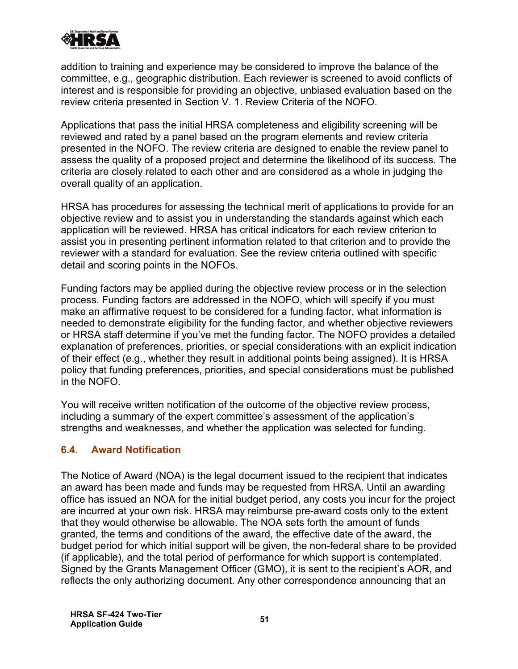

addition to training and experience may be considered to improve the balance of the committee, e.g., geographic distribution. Each reviewer is screened to avoid conflicts of interest and is responsible for providing an objective, unbiased evaluation based on the review criteria presented in Section V. 1. Review Criteria of the NOFO.

Applications that pass the initial HRSA completeness and eligibility screening will be reviewed and rated by a panel based on the program elements and review criteria presented in the NOFO. The review criteria are designed to enable the review panel to assess the quality of a proposed project and determine the likelihood of its success. The criteria are closely related to each other and are considered as a whole in judging the overall quality of an application.

HRSA has procedures for assessing the technical merit of applications to provide for an objective review and to assist you in understanding the standards against which each application will be reviewed. HRSA has critical indicators for each review criterion to assist you in presenting pertinent information related to that criterion and to provide the reviewer with a standard for evaluation. See the review criteria outlined with specific detail and scoring points in the NOFOs.

Funding factors may be applied during the objective review process or in the selection process. Funding factors are addressed in the NOFO, which will specify if you must make an affirmative request to be considered for a funding factor, what information is needed to demonstrate eligibility for the funding factor, and whether objective reviewers or HRSA staff determine if you've met the funding factor. The NOFO provides a detailed explanation of preferences, priorities, or special considerations with an explicit indication of their effect (e.g., whether they result in additional points being assigned). It is HRSA policy that funding preferences, priorities, and special considerations must be published in the NOFO.

You will receive written notification of the outcome of the objective review process, including a summary of the expert committee's assessment of the application's strengths and weaknesses, and whether the application was selected for funding.

#### <span id="page-53-0"></span>**6.4. Award Notification**

The Notice of Award (NOA) is the legal document issued to the recipient that indicates an award has been made and funds may be requested from HRSA. Until an awarding office has issued an NOA for the initial budget period, any costs you incur for the project are incurred at your own risk. HRSA may reimburse pre-award costs only to the extent that they would otherwise be allowable. The NOA sets forth the amount of funds granted, the terms and conditions of the award, the effective date of the award, the budget period for which initial support will be given, the non-federal share to be provided (if applicable), and the total period of performance for which support is contemplated. Signed by the Grants Management Officer (GMO), it is sent to the recipient's AOR, and reflects the only authorizing document. Any other correspondence announcing that an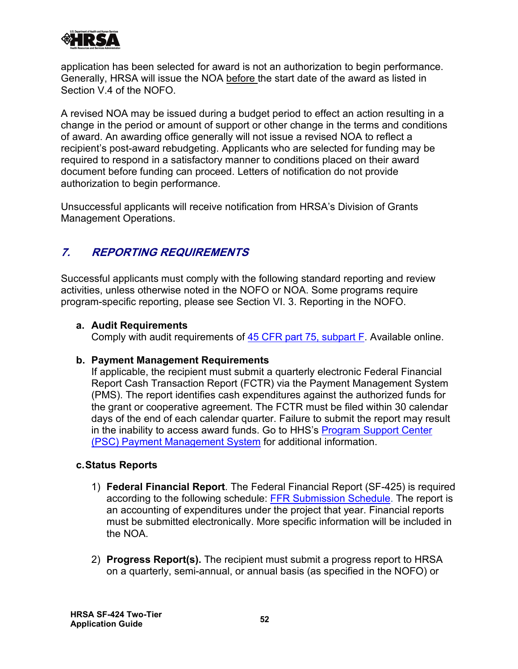

application has been selected for award is not an authorization to begin performance. Generally, HRSA will issue the NOA before the start date of the award as listed in Section V.4 of the NOFO.

A revised NOA may be issued during a budget period to effect an action resulting in a change in the period or amount of support or other change in the terms and conditions of award. An awarding office generally will not issue a revised NOA to reflect a recipient's post-award rebudgeting. Applicants who are selected for funding may be required to respond in a satisfactory manner to conditions placed on their award document before funding can proceed. Letters of notification do not provide authorization to begin performance.

Unsuccessful applicants will receive notification from HRSA's Division of Grants Management Operations.

# <span id="page-54-0"></span>**7. REPORTING REQUIREMENTS**

Successful applicants must comply with the following standard reporting and review activities, unless otherwise noted in the NOFO or NOA. Some programs require program-specific reporting, please see Section VI. 3. Reporting in the NOFO.

#### **a. Audit Requirements**

Comply with audit requirements of <u>45 CFR part 75, subpart F</u>. Available online.

#### **b. Payment Management Requirements**

If applicable, the recipient must submit a quarterly electronic Federal Financial Report Cash Transaction Report (FCTR) via the Payment Management System (PMS). The report identifies cash expenditures against the authorized funds for the grant or cooperative agreement. The FCTR must be filed within 30 calendar days of the end of each calendar quarter. Failure to submit the report may result in the inability to access award funds. Go to HHS's [Program Support Center](https://pms.psc.gov/) (PSC) [Payment Management System](https://pms.psc.gov/) for additional information.

#### **c.Status Reports**

- 1) **Federal Financial Report**. The Federal Financial Report (SF-425) is required according to the following schedule: [FFR Submission Schedule.](http://www.hrsa.gov/grants/manage/technicalassistance/federalfinancialreport/ffrschedule.pdf) The report is an accounting of expenditures under the project that year. Financial reports must be submitted electronically. More specific information will be included in the NOA.
- 2) **Progress Report(s).** The recipient must submit a progress report to HRSA on a quarterly, semi-annual, or annual basis (as specified in the NOFO) or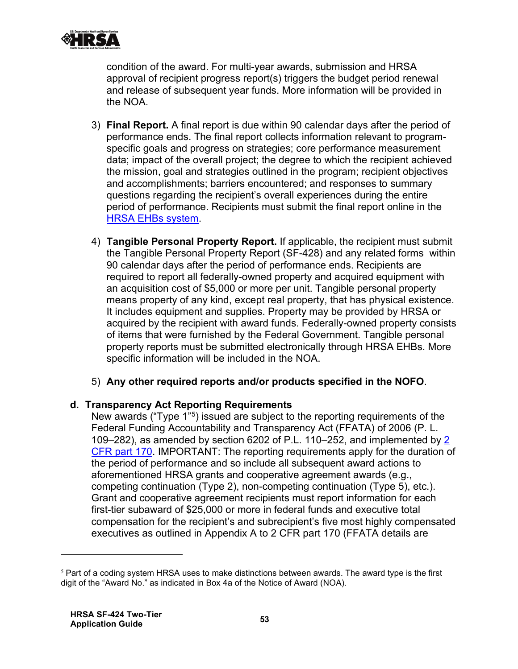

condition of the award. For multi-year awards, submission and HRSA approval of recipient progress report(s) triggers the budget period renewal and release of subsequent year funds. More information will be provided in the NOA.

- <u>[HRSA EHBs system](https://grants.hrsa.gov/grantee)</u> 3) **Final Report.** A final report is due within 90 calendar days after the period of performance ends. The final report collects information relevant to programspecific goals and progress on strategies; core performance measurement data; impact of the overall project; the degree to which the recipient achieved the mission, goal and strategies outlined in the program; recipient objectives and accomplishments; barriers encountered; and responses to summary questions regarding the recipient's overall experiences during the entire period of performance. Recipients must submit the final report online in the
- 4) **Tangible Personal Property Report.** If applicable, the recipient must submit the Tangible Personal Property Report (SF-428) and any related forms within 90 calendar days after the period of performance ends. Recipients are required to report all federally-owned property and acquired equipment with an acquisition cost of \$5,000 or more per unit. Tangible personal property means property of any kind, except real property, that has physical existence. It includes equipment and supplies. Property may be provided by HRSA or acquired by the recipient with award funds. Federally-owned property consists of items that were furnished by the Federal Government. Tangible personal property reports must be submitted electronically through HRSA EHBs. More specific information will be included in the NOA.
- 5) **Any other required reports and/or products specified in the NOFO**.

#### **d. Transparency Act Reporting Requirements**

New awards ("Type 1"[5](#page-55-0)) issued are subject to the reporting requirements of the Federal Funding Accountability and Transparency Act (FFATA) of 2006 (P. L. 109–282), as amended by section 6202 of P.L. 110–252, and implemented by [2](http://www.ecfr.gov/cgi-bin/text-idx?c=ecfr&tpl=/ecfrbrowse/Title02/2cfr170_main_02.tpl)  [CFR part 170.](http://www.ecfr.gov/cgi-bin/text-idx?c=ecfr&tpl=/ecfrbrowse/Title02/2cfr170_main_02.tpl) IMPORTANT: The reporting requirements apply for the duration of the period of performance and so include all subsequent award actions to aforementioned HRSA grants and cooperative agreement awards (e.g., competing continuation (Type 2), non-competing continuation (Type 5), etc.). Grant and cooperative agreement recipients must report information for each first-tier subaward of \$25,000 or more in federal funds and executive total compensation for the recipient's and subrecipient's five most highly compensated executives as outlined in Appendix A to 2 CFR part 170 (FFATA details are

<span id="page-55-0"></span> $<sup>5</sup>$  Part of a coding system HRSA uses to make distinctions between awards. The award type is the first</sup> digit of the "Award No." as indicated in Box 4a of the Notice of Award (NOA).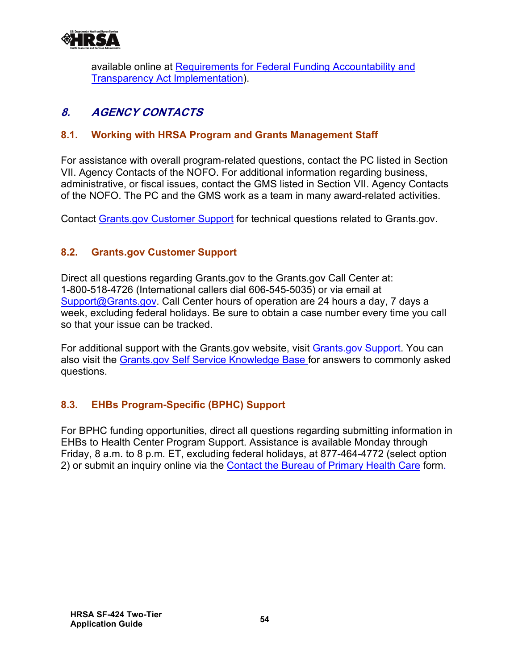

available online at Requirements for Federal Funding Accountability and [Transparency Act Implementation\)](http://www.hrsa.gov/grants/ffata.html).

# <span id="page-56-0"></span>**8. AGENCY CONTACTS**

# <span id="page-56-1"></span>**8.1. Working with HRSA Program and Grants Management Staff**

For assistance with overall program-related questions, contact the PC listed in Section VII. Agency Contacts of the NOFO. For additional information regarding business, administrative, or fiscal issues, contact the GMS listed in Section VII. Agency Contacts of the NOFO. The PC and the GMS work as a team in many award-related activities.

Contact [Grants.gov Customer Support](https://www.grants.gov/web/grants/support.html) for technical questions related to Grants.gov.

# <span id="page-56-2"></span>**8.2. Grants.gov Customer Support**

Direct all questions regarding Grants.gov to the Grants.gov Call Center at: 1-800-518-4726 (International callers dial 606-545-5035) or via email at [Support@Grants.gov.](mailto:Support@Grants.gov) Call Center hours of operation are 24 hours a day, 7 days a week, excluding federal holidays. Be sure to obtain a case number every time you call so that your issue can be tracked.

For additional support with the Grants.gov website, visit [Grants.gov Support.](http://www.grants.gov/web/grants/support.html) You can also visit the [Grants.gov Self Service Knowledge Base](https://grants-portal.psc.gov/Welcome.aspx?pt=Grants) for answers to commonly asked questions.

# <span id="page-56-3"></span>**8.3. EHBs Program-Specific (BPHC) Support**

2) or submit an inquiry online via the <u>[Contact the Bureau of Primary Health Care](https://www.hrsa.gov/about/contact/bphc.aspx)</u> form. For BPHC funding opportunities, direct all questions regarding submitting information in EHBs to Health Center Program Support. Assistance is available Monday through Friday, 8 a.m. to 8 p.m. ET, excluding federal holidays, at 877-464-4772 (select option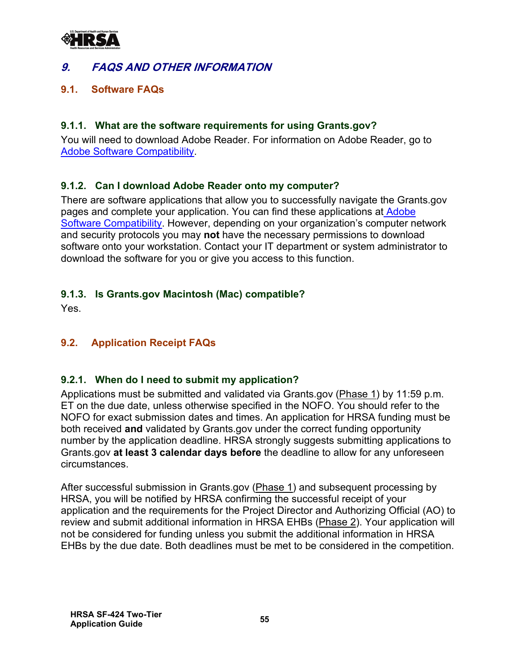

# <span id="page-57-0"></span>**9. FAQS AND OTHER INFORMATION**

#### <span id="page-57-1"></span>**9.1. Software FAQs**

#### **9.1.1. What are the software requirements for using Grants.gov?**

[Adobe Software Compatibility](https://www.grants.gov/web/grants/applicants/adobe-software-compatibility.html). You will need to download Adobe Reader. For information on Adobe Reader, go to

#### **9.1.2. Can I download Adobe Reader onto my computer?**

There are software applications that allow you to successfully navigate the Grants.gov pages and complete your application. You can find these applications at [Adobe](http://www.grants.gov/web/grants/applicants/adobe-software-compatibility.html)  [Software Compatibility.](http://www.grants.gov/web/grants/applicants/adobe-software-compatibility.html) However, depending on your organization's computer network and security protocols you may **not** have the necessary permissions to download software onto your workstation. Contact your IT department or system administrator to download the software for you or give you access to this function.

#### **9.1.3. Is Grants.gov Macintosh (Mac) compatible?**

Yes.

# <span id="page-57-2"></span>**9.2. Application Receipt FAQs**

# **9.2.1. When do I need to submit my application?**

Applications must be submitted and validated via Grants.gov (Phase 1) by 11:59 p.m. ET on the due date, unless otherwise specified in the NOFO. You should refer to the NOFO for exact submission dates and times. An application for HRSA funding must be both received **and** validated by Grants.gov under the correct funding opportunity number by the application deadline. HRSA strongly suggests submitting applications to Grants.gov **at least 3 calendar days before** the deadline to allow for any unforeseen circumstances.

After successful submission in Grants.gov (Phase 1) and subsequent processing by HRSA, you will be notified by HRSA confirming the successful receipt of your application and the requirements for the Project Director and Authorizing Official (AO) to review and submit additional information in HRSA EHBs (Phase 2). Your application will not be considered for funding unless you submit the additional information in HRSA EHBs by the due date. Both deadlines must be met to be considered in the competition.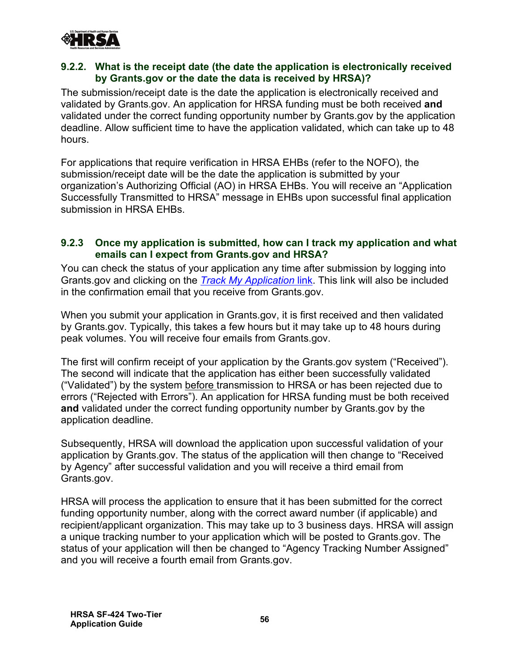

#### **9.2.2. What is the receipt date (the date the application is electronically received by Grants.gov or the date the data is received by HRSA)?**

The submission/receipt date is the date the application is electronically received and validated by Grants.gov. An application for HRSA funding must be both received **and** validated under the correct funding opportunity number by Grants.gov by the application deadline. Allow sufficient time to have the application validated, which can take up to 48 hours.

For applications that require verification in HRSA EHBs (refer to the NOFO), the submission/receipt date will be the date the application is submitted by your organization's Authorizing Official (AO) in HRSA EHBs. You will receive an "Application Successfully Transmitted to HRSA" message in EHBs upon successful final application submission in HRSA EHBs.

#### **9.2.3 Once my application is submitted, how can I track my application and what emails can I expect from Grants.gov and HRSA?**

You can check the status of your application any time after submission by logging into Grants.gov and clicking on the *[Track My Application](https://www.grants.gov/web/grants/applicants/track-my-application.html)* link. This link will also be included in the confirmation email that you receive from Grants.gov.

When you submit your application in Grants.gov, it is first received and then validated by Grants.gov. Typically, this takes a few hours but it may take up to 48 hours during peak volumes. You will receive four emails from Grants.gov.

The first will confirm receipt of your application by the Grants.gov system ("Received"). The second will indicate that the application has either been successfully validated ("Validated") by the system before transmission to HRSA or has been rejected due to errors ("Rejected with Errors"). An application for HRSA funding must be both received **and** validated under the correct funding opportunity number by Grants.gov by the application deadline.

Subsequently, HRSA will download the application upon successful validation of your application by Grants.gov. The status of the application will then change to "Received by Agency" after successful validation and you will receive a third email from Grants.gov.

HRSA will process the application to ensure that it has been submitted for the correct funding opportunity number, along with the correct award number (if applicable) and recipient/applicant organization. This may take up to 3 business days. HRSA will assign a unique tracking number to your application which will be posted to Grants.gov. The status of your application will then be changed to "Agency Tracking Number Assigned" and you will receive a fourth email from Grants.gov.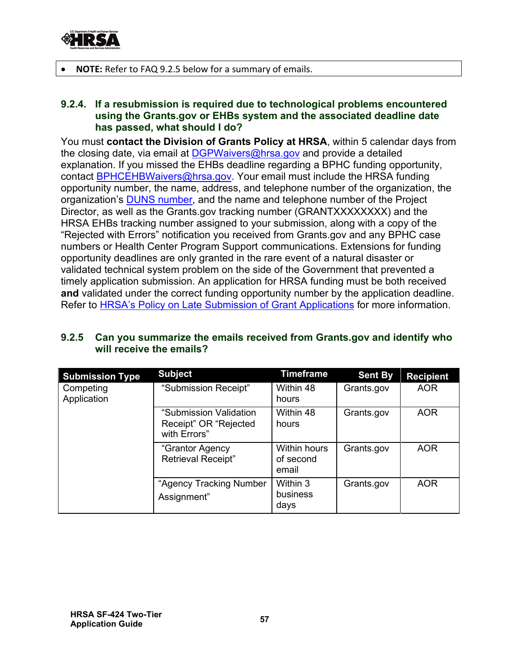

• **NOTE:** Refer to FAQ 9.2.5 below for a summary of emails.

#### **9.2.4. If a resubmission is required due to technological problems encountered using the Grants.gov or EHBs system and the associated deadline date has passed, what should I do?**

Refer to <u>HRSA's Policy on Late Submission of Grant Applications</u> for more information. You must **contact the Division of Grants Policy at HRSA**, within 5 calendar days from the closing date, via email at [DGPWaivers@hrsa.gov](mailto:DGPWaivers@hrsa.gov) and provide a detailed explanation. If you missed the EHBs deadline regarding a BPHC funding opportunity, contact **BPHCEHBWaivers@hrsa.gov**. Your email must include the HRSA funding opportunity number, the name, address, and telephone number of the organization, the organization's [DUNS number,](https://www.grants.gov/applicants/organization-registration/step-1-obtain-duns-number.html) and the name and telephone number of the Project Director, as well as the Grants.gov tracking number (GRANTXXXXXXXX) and the HRSA EHBs tracking number assigned to your submission, along with a copy of the "Rejected with Errors" notification you received from Grants.gov and any BPHC case numbers or Health Center Program Support communications. Extensions for funding opportunity deadlines are only granted in the rare event of a natural disaster or validated technical system problem on the side of the Government that prevented a timely application submission. An application for HRSA funding must be both received **and** validated under the correct funding opportunity number by the application deadline.

| <b>Submission Type</b>   | <b>Subject</b>                                                  | Timeframe                                 | <b>Sent By</b> | <b>Recipient</b> |
|--------------------------|-----------------------------------------------------------------|-------------------------------------------|----------------|------------------|
| Competing<br>Application | "Submission Receipt"                                            | Within 48<br>hours                        | Grants.gov     | <b>AOR</b>       |
|                          | "Submission Validation<br>Receipt" OR "Rejected<br>with Errors" | Within 48<br>hours                        | Grants.gov     | <b>AOR</b>       |
|                          | "Grantor Agency<br><b>Retrieval Receipt"</b>                    | <b>Within hours</b><br>of second<br>email | Grants.gov     | <b>AOR</b>       |
|                          | "Agency Tracking Number<br>Assignment"                          | Within 3<br>business<br>days              | Grants.gov     | <b>AOR</b>       |

#### **9.2.5 Can you summarize the emails received from Grants.gov and identify who will receive the emails?**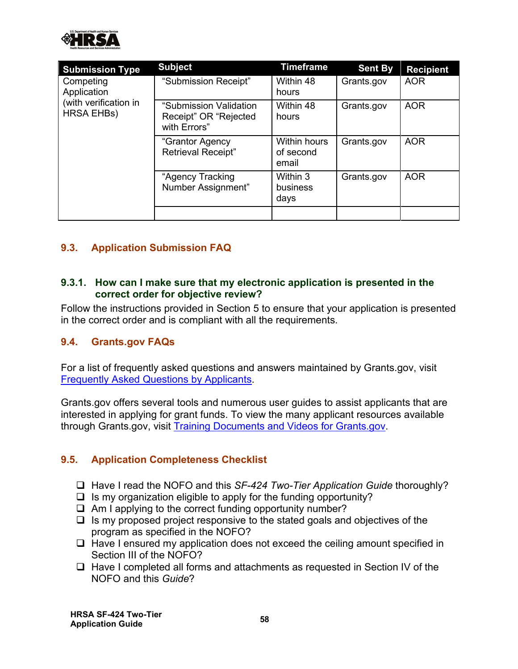

| <b>Submission Type</b>                                                 | <b>Subject</b>                                                  | <b>Timeframe</b>                          | <b>Sent By</b> | <b>Recipient</b> |
|------------------------------------------------------------------------|-----------------------------------------------------------------|-------------------------------------------|----------------|------------------|
| Competing<br>Application<br>(with verification in<br><b>HRSA EHBs)</b> | "Submission Receipt"                                            | Within 48<br>hours                        | Grants.gov     | <b>AOR</b>       |
|                                                                        | "Submission Validation<br>Receipt" OR "Rejected<br>with Errors" | Within 48<br>hours                        | Grants.gov     | <b>AOR</b>       |
|                                                                        | "Grantor Agency<br><b>Retrieval Receipt"</b>                    | <b>Within hours</b><br>of second<br>email | Grants.gov     | <b>AOR</b>       |
|                                                                        | "Agency Tracking<br>Number Assignment"                          | Within 3<br>business<br>days              | Grants.gov     | <b>AOR</b>       |
|                                                                        |                                                                 |                                           |                |                  |

# <span id="page-60-0"></span>**9.3. Application Submission FAQ**

#### **9.3.1. How can I make sure that my electronic application is presented in the correct order for objective review?**

Follow the instructions provided in [Section 5](#page-23-3) to ensure that your application is presented in the correct order and is compliant with all the requirements.

#### <span id="page-60-1"></span>**9.4. Grants.gov FAQs**

. [Frequently Asked Questions by Applicants](https://www.grants.gov/web/grants/applicants/applicant-faqs.html) For a list of frequently asked questions and answers maintained by Grants.gov, visit

through Grants.gov, visit <u>[Training Documents and Videos for Grants.gov](https://www.grants.gov/web/grants/applicants/applicant-training.html)</u> Grants.gov offers several tools and numerous user guides to assist applicants that are interested in applying for grant funds. To view the many applicant resources available

# <span id="page-60-2"></span>**9.5. Application Completeness Checklist**

- □ Have I read the NOFO and this *SF-424 Two-Tier Application Guide* thoroughly?
- $\Box$  Is my organization eligible to apply for the funding opportunity?
- $\Box$  Am I applying to the correct funding opportunity number?
- $\Box$  Is my proposed project responsive to the stated goals and objectives of the program as specified in the NOFO?
- $\Box$  Have I ensured my application does not exceed the ceiling amount specified in Section III of the NOFO?
- $\Box$  Have I completed all forms and attachments as requested in Section IV of the NOFO and this *Guide*?